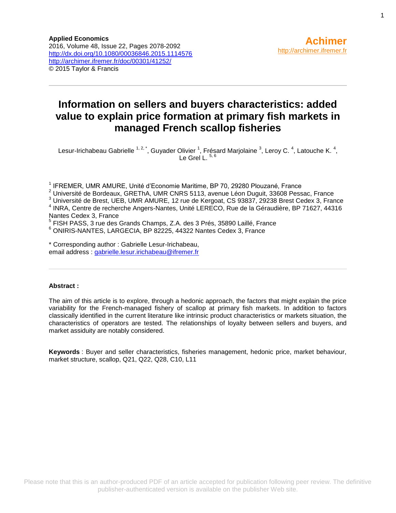# **Information on sellers and buyers characteristics: added value to explain price formation at primary fish markets in managed French scallop fisheries**

Lesur-Irichabeau Gabrielle  $^{1,2,^*}$ , Guyader Olivier  $^1$ , Frésard Marjolaine  $^3$ , Leroy C.  $^4$ , Latouche K.  $^4$ , Le Grel L.  $5$ ,

<sup>1</sup> IFREMER, UMR AMURE, Unité d'Economie Maritime, BP 70, 29280 Plouzané, France

 $2$  Université de Bordeaux, GREThA, UMR CNRS 5113, avenue Léon Duguit, 33608 Pessac, France

<sup>3</sup> Université de Brest, UEB, UMR AMURE, 12 rue de Kergoat, CS 93837, 29238 Brest Cedex 3, France 4 INRA, Centre de recherche Angers-Nantes, Unité LERECO, Rue de la Géraudière, BP 71627, 44316

Nantes Cedex 3, France<br><sup>5</sup> FISH PASS, 3 rue des Grands Champs, Z.A. des 3 Prés, 35890 Laillé, France

<sup>6</sup> ONIRIS-NANTES, LARGECIA, BP 82225, 44322 Nantes Cedex 3, France

\* Corresponding author : Gabrielle Lesur-Irichabeau, email address : [gabrielle.lesur.irichabeau@ifremer.fr](mailto:gabrielle.lesur.irichabeau@ifremer.fr)

### **Abstract :**

The aim of this article is to explore, through a hedonic approach, the factors that might explain the price variability for the French-managed fishery of scallop at primary fish markets. In addition to factors classically identified in the current literature like intrinsic product characteristics or markets situation, the characteristics of operators are tested. The relationships of loyalty between sellers and buyers, and market assiduity are notably considered.

**Keywords** : Buyer and seller characteristics, fisheries management, hedonic price, market behaviour, market structure, scallop, Q21, Q22, Q28, C10, L11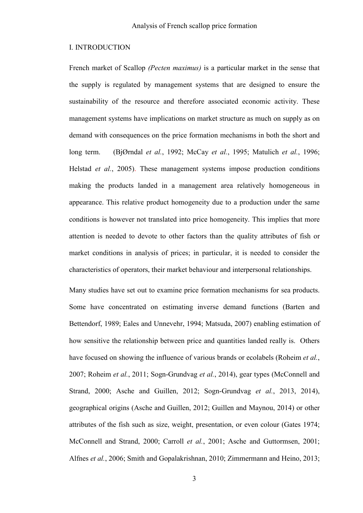### I. INTRODUCTION

French market of Scallop *(Pecten maximus)* is a particular market in the sense that the supply is regulated by management systems that are designed to ensure the sustainability of the resource and therefore associated economic activity. These management systems have implications on market structure as much on supply as on demand with consequences on the price formation mechanisms in both the short and long term. (BjØrndal *et al.*, 1992; McCay *et al.*, 1995; Matulich *et al.*, 1996; Helstad *et al.*, 2005). These management systems impose production conditions making the products landed in a management area relatively homogeneous in appearance. This relative product homogeneity due to a production under the same conditions is however not translated into price homogeneity. This implies that more attention is needed to devote to other factors than the quality attributes of fish or market conditions in analysis of prices; in particular, it is needed to consider the characteristics of operators, their market behaviour and interpersonal relationships.

Many studies have set out to examine price formation mechanisms for sea products. Some have concentrated on estimating inverse demand functions (Barten and Bettendorf, 1989; Eales and Unnevehr, 1994; Matsuda, 2007) enabling estimation of how sensitive the relationship between price and quantities landed really is. Others have focused on showing the influence of various brands or ecolabels (Roheim *et al.*, 2007; Roheim *et al.*, 2011; Sogn-Grundvag *et al.*, 2014), gear types (McConnell and Strand, 2000; Asche and Guillen, 2012; Sogn-Grundvag *et al.*, 2013, 2014), geographical origins (Asche and Guillen, 2012; Guillen and Maynou, 2014) or other attributes of the fish such as size, weight, presentation, or even colour (Gates 1974; McConnell and Strand, 2000; Carroll *et al.*, 2001; Asche and Guttormsen, 2001; Alfnes *et al.*, 2006; Smith and Gopalakrishnan, 2010; Zimmermann and Heino, 2013;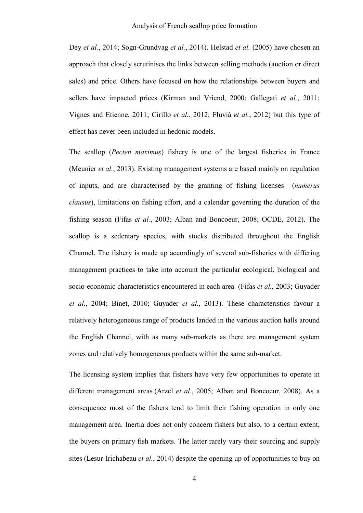Dey *et al.*, 2014; Sogn-Grundvag *et al.*, 2014). Helstad *et al.* (2005) have chosen an approach that closely scrutinises the links between selling methods (auction or direct sales) and price. Others have focused on how the relationships between buyers and sellers have impacted prices (Kirman and Vriend, 2000; Gallegati *et al.*, 2011; Vignes and Etienne, 2011; Cirillo *et al.*, 2012; Fluvià *et al.*, 2012) but this type of effect has never been included in hedonic models.

The scallop (*Pecten maximus*) fishery is one of the largest fisheries in France (Meunier *et al.*, 2013). Existing management systems are based mainly on regulation of inputs, and are characterised by the granting of fishing licenses (*numerus clausus*), limitations on fishing effort, and a calendar governing the duration of the fishing season (Fifas *et al.*, 2003; Alban and Boncoeur, 2008; OCDE, 2012). The scallop is a sedentary species, with stocks distributed throughout the English Channel. The fishery is made up accordingly of several sub-fisheries with differing management practices to take into account the particular ecological, biological and socio-economic characteristics encountered in each area (Fifas *et al.*, 2003; Guyader *et al.*, 2004; Binet, 2010; Guyader *et al.*, 2013). These characteristics favour a relatively heterogeneous range of products landed in the various auction halls around the English Channel, with as many sub-markets as there are management system zones and relatively homogeneous products within the same sub-market.

The licensing system implies that fishers have very few opportunities to operate in different management areas (Arzel *et al.*, 2005; Alban and Boncoeur, 2008). As a consequence most of the fishers tend to limit their fishing operation in only one management area. Inertia does not only concern fishers but also, to a certain extent, the buyers on primary fish markets. The latter rarely vary their sourcing and supply sites (Lesur-Irichabeau *et al.*, 2014) despite the opening up of opportunities to buy on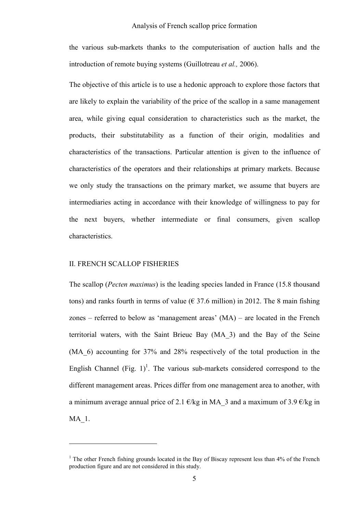### Analysis of French scallop price formation

the various sub-markets thanks to the computerisation of auction halls and the introduction of remote buying systems (Guillotreau *et al.,* 2006).

The objective of this article is to use a hedonic approach to explore those factors that are likely to explain the variability of the price of the scallop in a same management area, while giving equal consideration to characteristics such as the market, the products, their substitutability as a function of their origin, modalities and characteristics of the transactions. Particular attention is given to the influence of characteristics of the operators and their relationships at primary markets. Because we only study the transactions on the primary market, we assume that buyers are intermediaries acting in accordance with their knowledge of willingness to pay for the next buyers, whether intermediate or final consumers, given scallop characteristics.

### II. FRENCH SCALLOP FISHERIES

 $\overline{a}$ 

The scallop (*Pecten maximus*) is the leading species landed in France (15.8 thousand tons) and ranks fourth in terms of value ( $\epsilon$  37.6 million) in 2012. The 8 main fishing zones – referred to below as 'management areas' (MA) – are located in the French territorial waters, with the Saint Brieuc Bay (MA\_3) and the Bay of the Seine (MA\_6) accounting for 37% and 28% respectively of the total production in the English Channel (Fig.  $1$ )<sup>1</sup>. The various sub-markets considered correspond to the different management areas. Prices differ from one management area to another, with a minimum average annual price of 2.1  $\epsilon$ /kg in MA 3 and a maximum of 3.9  $\epsilon$ /kg in MA\_1.

<sup>&</sup>lt;sup>1</sup> The other French fishing grounds located in the Bay of Biscay represent less than  $4\%$  of the French production figure and are not considered in this study.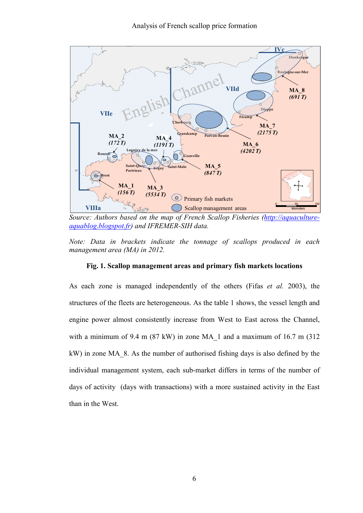

*Source: Authors based on the map of French Scallop Fisheries (http://aquacultureaquablog.blogspot.fr) and IFREMER-SIH data.* 

*Note: Data in brackets indicate the tonnage of scallops produced in each management area (MA) in 2012.* 

### **Fig. 1. Scallop management areas and primary fish markets locations**

As each zone is managed independently of the others (Fifas *et al.* 2003), the structures of the fleets are heterogeneous. As the table 1 shows, the vessel length and engine power almost consistently increase from West to East across the Channel, with a minimum of 9.4 m  $(87 \text{ kW})$  in zone MA 1 and a maximum of 16.7 m  $(312 \text{ m})$ kW) in zone MA\_8. As the number of authorised fishing days is also defined by the individual management system, each sub-market differs in terms of the number of days of activity (days with transactions) with a more sustained activity in the East than in the West.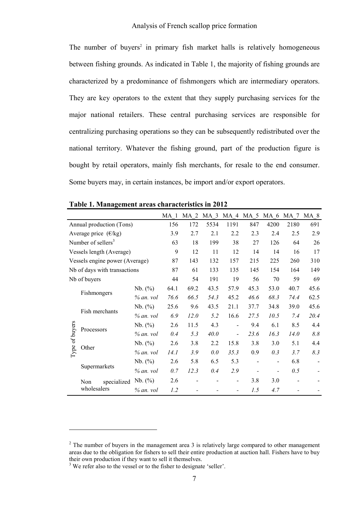The number of buyers<sup>2</sup> in primary fish market halls is relatively homogeneous between fishing grounds. As indicated in Table 1, the majority of fishing grounds are characterized by a predominance of fishmongers which are intermediary operators. They are key operators to the extent that they supply purchasing services for the major national retailers. These central purchasing services are responsible for centralizing purchasing operations so they can be subsequently redistributed over the national territory. Whatever the fishing ground, part of the production figure is bought by retail operators, mainly fish merchants, for resale to the end consumer. Some buyers may, in certain instances, be import and/or export operators.

|                |                                |             | MA 1 | MA <sub>2</sub> | MA 3 | MA 4 MA 5 |      | MA 6 MA 7 MA 8 |      |      |
|----------------|--------------------------------|-------------|------|-----------------|------|-----------|------|----------------|------|------|
|                | Annual production (Tons)       |             | 156  | 172             | 5534 | 1191      | 847  | 4200           | 2180 | 691  |
|                | Average price $(\epsilon/kg)$  |             | 3.9  | 2.7             | 2.1  | 2.2       | 2.3  | 2.4            | 2.5  | 2.9  |
|                | Number of sellers <sup>3</sup> |             | 63   | 18              | 199  | 38        | 27   | 126            | 64   | 26   |
|                | Vessels length (Average)       | 9           | 12   | 11              | 12   | 14        | 14   | 16             | 17   |      |
|                | Vessels engine power (Average) |             | 87   | 143             | 132  | 157       | 215  | 225            | 260  | 310  |
|                | Nb of days with transactions   |             | 87   | 61              | 133  | 135       | 145  | 154            | 164  | 149  |
|                | Nb of buyers                   |             | 44   | 54              | 191  | 19        | 56   | 70             | 59   | 69   |
|                |                                | Nb. (%)     | 64.1 | 69.2            | 43.5 | 57.9      | 45.3 | 53.0           | 40.7 | 45.6 |
|                | Fishmongers                    | $% an$ vol  | 76.6 | 66.5            | 54.3 | 45.2      | 46.6 | 68.3           | 74.4 | 62.5 |
|                |                                | Nb. (%)     | 25.6 | 9.6             | 43.5 | 21.1      | 37.7 | 34.8           | 39.0 | 45.6 |
|                | Fish merchants                 | $%$ an. vol | 6.9  | <i>12.0</i>     | 5.2  | 16.6      | 27.5 | 10.5           | 7.4  | 20.4 |
|                |                                | Nb. (%)     | 2.6  | 11.5            | 4.3  | -         | 9.4  | 6.1            | 8.5  | 4.4  |
|                | Processors                     | $%$ an. vol | 0.4  | 5.3             | 40.0 | -         | 23.6 | 16.3           | 14.0 | 8.8  |
|                |                                | Nb. (%)     | 2.6  | 3.8             | 2.2  | 15.8      | 3.8  | 3.0            | 5.1  | 4.4  |
| Type of buyers | Other                          | $% an$ vol  | 14.1 | 3.9             | 0.0  | 35.3      | 0.9  | 0.3            | 3.7  | 8.3  |
|                |                                | Nb. (%)     | 2.6  | 5.8             | 6.5  | 5.3       | -    | $\blacksquare$ | 6.8  |      |
|                | Supermarkets                   | $% an$ vol  | 0.7  | 12.3            | 0.4  | 2.9       |      |                | 0.5  |      |
|                | specialized<br>Non             | Nb. (%)     | 2.6  |                 |      | -         | 3.8  | 3.0            |      |      |
|                | wholesalers                    | $%$ an. vol | 1.2  |                 |      |           | 1.5  | 4.7            |      |      |

**Table 1. Management areas characteristics in 2012** 

 $\overline{a}$ 

 $2^2$  The number of buyers in the management area 3 is relatively large compared to other management areas due to the obligation for fishers to sell their entire production at auction hall. Fishers have to buy their own production if they want to sell it themselves.

<sup>&</sup>lt;sup>3</sup> We refer also to the vessel or to the fisher to designate 'seller'.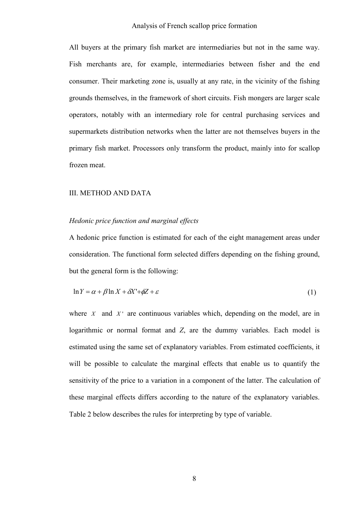All buyers at the primary fish market are intermediaries but not in the same way. Fish merchants are, for example, intermediaries between fisher and the end consumer. Their marketing zone is, usually at any rate, in the vicinity of the fishing grounds themselves, in the framework of short circuits. Fish mongers are larger scale operators, notably with an intermediary role for central purchasing services and supermarkets distribution networks when the latter are not themselves buyers in the primary fish market. Processors only transform the product, mainly into for scallop frozen meat.

### III. METHOD AND DATA

### *Hedonic price function and marginal effects*

A hedonic price function is estimated for each of the eight management areas under consideration. The functional form selected differs depending on the fishing ground, but the general form is the following:

$$
\ln Y = \alpha + \beta \ln X + \delta X' + \phi Z + \varepsilon \tag{1}
$$

where  $X$  and  $X'$  are continuous variables which, depending on the model, are in logarithmic or normal format and *Z*, are the dummy variables. Each model is estimated using the same set of explanatory variables. From estimated coefficients, it will be possible to calculate the marginal effects that enable us to quantify the sensitivity of the price to a variation in a component of the latter. The calculation of these marginal effects differs according to the nature of the explanatory variables. Table 2 below describes the rules for interpreting by type of variable.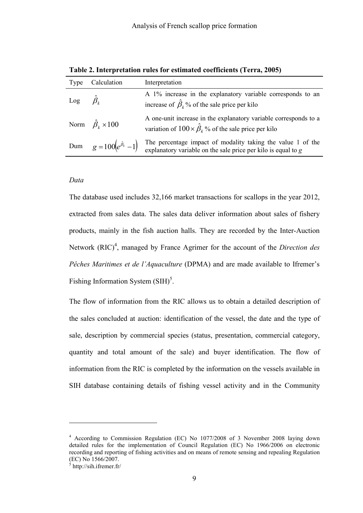|                     | Type Calculation                     | Interpretation                                                                                                                           |
|---------------------|--------------------------------------|------------------------------------------------------------------------------------------------------------------------------------------|
| Log $\hat{\beta}_k$ |                                      | A 1% increase in the explanatory variable corresponds to an<br>increase of $\hat{\beta}_k$ % of the sale price per kilo                  |
|                     | Norm $\hat{\beta}_k \times 100$      | A one-unit increase in the explanatory variable corresponds to a<br>variation of $100 \times \hat{\beta}_k$ % of the sale price per kilo |
|                     | Dum $g = 100(e^{\hat{\beta}_k} - 1)$ | The percentage impact of modality taking the value 1 of the<br>explanatory variable on the sale price per kilo is equal to $g$           |

**Table 2. Interpretation rules for estimated coefficients (Terra, 2005)** 

### *Data*

The database used includes 32,166 market transactions for scallops in the year 2012, extracted from sales data. The sales data deliver information about sales of fishery products, mainly in the fish auction halls. They are recorded by the Inter-Auction Network (RIC)<sup>4</sup>, managed by France Agrimer for the account of the *Direction des Pêches Maritimes et de l'Aquaculture* (DPMA) and are made available to Ifremer's Fishing Information System  $(SIH)^5$ .

The flow of information from the RIC allows us to obtain a detailed description of the sales concluded at auction: identification of the vessel, the date and the type of sale, description by commercial species (status, presentation, commercial category, quantity and total amount of the sale) and buyer identification. The flow of information from the RIC is completed by the information on the vessels available in SIH database containing details of fishing vessel activity and in the Community

 $\overline{a}$ 

<sup>4</sup> According to Commission Regulation (EC) No 1077/2008 of 3 November 2008 laying down detailed rules for the implementation of Council Regulation (EC) No 1966/2006 on electronic recording and reporting of fishing activities and on means of remote sensing and repealing Regulation (EC) No 1566/2007.

 $<sup>5</sup>$  http://sih.ifremer.fr/</sup>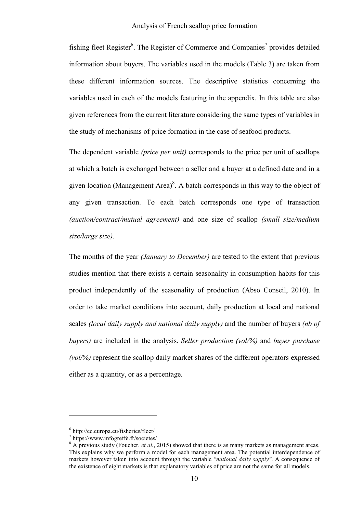fishing fleet Register<sup>6</sup>. The Register of Commerce and Companies<sup>7</sup> provides detailed information about buyers. The variables used in the models (Table 3) are taken from these different information sources. The descriptive statistics concerning the variables used in each of the models featuring in the appendix. In this table are also given references from the current literature considering the same types of variables in the study of mechanisms of price formation in the case of seafood products.

The dependent variable *(price per unit)* corresponds to the price per unit of scallops at which a batch is exchanged between a seller and a buyer at a defined date and in a given location (Management Area) $8$ . A batch corresponds in this way to the object of any given transaction. To each batch corresponds one type of transaction *(auction/contract/mutual agreement)* and one size of scallop *(small size/medium size/large size)*.

The months of the year *(January to December)* are tested to the extent that previous studies mention that there exists a certain seasonality in consumption habits for this product independently of the seasonality of production (Abso Conseil, 2010). In order to take market conditions into account, daily production at local and national scales *(local daily supply and national daily supply)* and the number of buyers *(nb of buyers)* are included in the analysis. *Seller production (vol/%)* and *buyer purchase (vol/%)* represent the scallop daily market shares of the different operators expressed either as a quantity, or as a percentage.

 $\overline{a}$ 

<sup>6</sup> http://ec.europa.eu/fisheries/fleet/

<sup>7</sup> https://www.infogreffe.fr/societes/

<sup>&</sup>lt;sup>8</sup> A previous study (Foucher, *et al.*, 2015) showed that there is as many markets as management areas. This explains why we perform a model for each management area. The potential interdependence of markets however taken into account through the variable *"national daily supply"*. A consequence of the existence of eight markets is that explanatory variables of price are not the same for all models.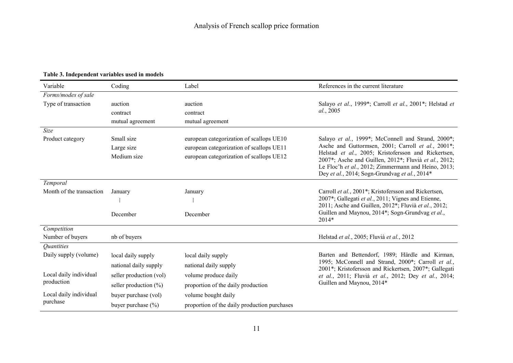| Variable                        | Coding                    | Label                                        | References in the current literature                                                                        |
|---------------------------------|---------------------------|----------------------------------------------|-------------------------------------------------------------------------------------------------------------|
| Forms/modes of sale             |                           |                                              |                                                                                                             |
| Type of transaction             | auction                   | auction                                      | Salayo et al., 1999*; Carroll et al., 2001*; Helstad et                                                     |
|                                 | contract                  | contract                                     | al., 2005                                                                                                   |
|                                 | mutual agreement          | mutual agreement                             |                                                                                                             |
| Size                            |                           |                                              |                                                                                                             |
| Product category                | Small size                | european categorization of scallops UE10     | Salayo et al., 1999*; McConnell and Strand, 2000*;                                                          |
|                                 | Large size                | european categorization of scallops UE11     | Asche and Guttormsen, 2001; Carroll et al., 2001*;<br>Helstad et al., 2005; Kristofersson and Rickertsen,   |
|                                 | Medium size               | european categorization of scallops UE12     | 2007*; Asche and Guillen, 2012*; Fluvià et al., 2012;                                                       |
|                                 |                           |                                              | Le Floc'h et al., 2012; Zimmermann and Heino, 2013;                                                         |
|                                 |                           |                                              | Dey et al., 2014; Sogn-Grundvag et al., 2014*                                                               |
| Temporal                        |                           |                                              |                                                                                                             |
| Month of the transaction        | January                   | January                                      | Carroll et al., 2001 <sup>*</sup> ; Kristofersson and Rickertsen,                                           |
|                                 |                           | $\vdots$                                     | 2007*; Gallegati et al., 2011; Vignes and Etienne,<br>2011; Asche and Guillen, 2012*; Fluvià et al., 2012;  |
|                                 | December                  | December                                     | Guillen and Maynou, 2014*; Sogn-Grundvag et al.,                                                            |
|                                 |                           |                                              | $2014*$                                                                                                     |
| Competition                     |                           |                                              |                                                                                                             |
| Number of buyers                | nb of buyers              |                                              | Helstad et al., 2005; Fluvià et al., 2012                                                                   |
| <i><u><b>Ouantities</b></u></i> |                           |                                              |                                                                                                             |
| Daily supply (volume)           | local daily supply        | local daily supply                           | Barten and Bettendorf, 1989; Härdle and Kirman,                                                             |
|                                 | national daily supply     | national daily supply                        | 1995; McConnell and Strand, 2000*; Carroll et al.,<br>2001*; Kristofersson and Rickertsen, 2007*; Gallegati |
| Local daily individual          | seller production (vol)   | volume produce daily                         | et al., 2011; Fluvià et al., 2012; Dey et al., 2014;                                                        |
| production                      | seller production $(\% )$ | proportion of the daily production           | Guillen and Maynou, 2014*                                                                                   |
| Local daily individual          | buyer purchase (vol)      | volume bought daily                          |                                                                                                             |
| purchase                        | buyer purchase $(\% )$    | proportion of the daily production purchases |                                                                                                             |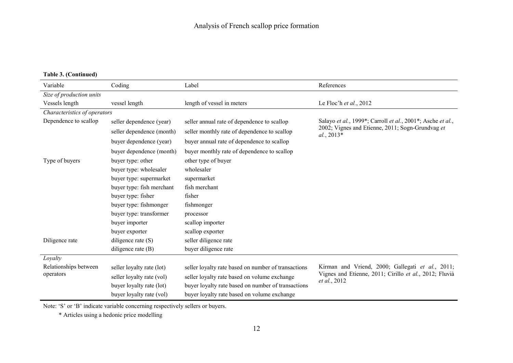**Table 3. (Continued)** 

| Variable                     | Coding                    | Label                                               | References                                                       |
|------------------------------|---------------------------|-----------------------------------------------------|------------------------------------------------------------------|
| Size of production units     |                           |                                                     |                                                                  |
| Vessels length               | vessel length             | length of vessel in meters                          | Le Floc'h et al., 2012                                           |
| Characteristics of operators |                           |                                                     |                                                                  |
| Dependence to scallop        | seller dependence (year)  | seller annual rate of dependence to scallop         | Salayo et al., 1999*; Carroll et al., 2001*; Asche et al.,       |
|                              | seller dependence (month) | seller monthly rate of dependence to scallop        | 2002; Vignes and Etienne, 2011; Sogn-Grundvag et<br>$al., 2013*$ |
|                              | buyer dependence (year)   | buyer annual rate of dependence to scallop          |                                                                  |
|                              | buyer dependence (month)  | buyer monthly rate of dependence to scallop         |                                                                  |
| Type of buyers               | buyer type: other         | other type of buyer                                 |                                                                  |
|                              | buyer type: wholesaler    | wholesaler                                          |                                                                  |
|                              | buyer type: supermarket   | supermarket                                         |                                                                  |
|                              | buyer type: fish merchant | fish merchant                                       |                                                                  |
|                              | buyer type: fisher        | fisher                                              |                                                                  |
|                              | buyer type: fishmonger    | fishmonger                                          |                                                                  |
|                              | buyer type: transformer   | processor                                           |                                                                  |
|                              | buyer importer            | scallop importer                                    |                                                                  |
|                              | buyer exporter            | scallop exporter                                    |                                                                  |
| Diligence rate               | diligence rate $(S)$      | seller diligence rate                               |                                                                  |
|                              | diligence rate $(B)$      | buyer diligence rate                                |                                                                  |
| Loyalty                      |                           |                                                     |                                                                  |
| Relationships between        | seller loyalty rate (lot) | seller loyalty rate based on number of transactions | Kirman and Vriend, 2000; Gallegati et al., 2011;                 |
| operators                    | seller loyalty rate (vol) | seller loyalty rate based on volume exchange        | Vignes and Etienne, 2011; Cirillo et al., 2012; Fluvià           |
|                              | buyer loyalty rate (lot)  | buyer loyalty rate based on number of transactions  | et al., 2012                                                     |
|                              | buyer loyalty rate (vol)  | buyer loyalty rate based on volume exchange         |                                                                  |

Note: 'S' or 'B' indicate variable concerning respectively sellers or buyers.

\* Articles using a hedonic price modelling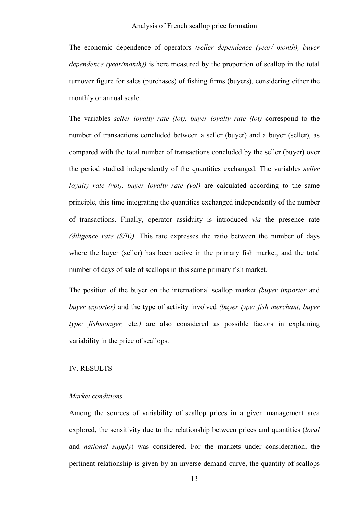The economic dependence of operators *(seller dependence (year/ month), buyer dependence (year/month))* is here measured by the proportion of scallop in the total turnover figure for sales (purchases) of fishing firms (buyers), considering either the monthly or annual scale.

The variables *seller loyalty rate (lot), buyer loyalty rate (lot)* correspond to the number of transactions concluded between a seller (buyer) and a buyer (seller), as compared with the total number of transactions concluded by the seller (buyer) over the period studied independently of the quantities exchanged. The variables *seller loyalty rate (vol), buyer loyalty rate (vol)* are calculated according to the same principle, this time integrating the quantities exchanged independently of the number of transactions. Finally, operator assiduity is introduced *via* the presence rate *(diligence rate (S/B))*. This rate expresses the ratio between the number of days where the buyer (seller) has been active in the primary fish market, and the total number of days of sale of scallops in this same primary fish market.

The position of the buyer on the international scallop market *(buyer importer* and *buyer exporter)* and the type of activity involved *(buyer type: fish merchant, buyer type: fishmonger,* etc.*)* are also considered as possible factors in explaining variability in the price of scallops.

### IV. RESULTS

### *Market conditions*

Among the sources of variability of scallop prices in a given management area explored, the sensitivity due to the relationship between prices and quantities (*local* and *national supply*) was considered. For the markets under consideration, the pertinent relationship is given by an inverse demand curve, the quantity of scallops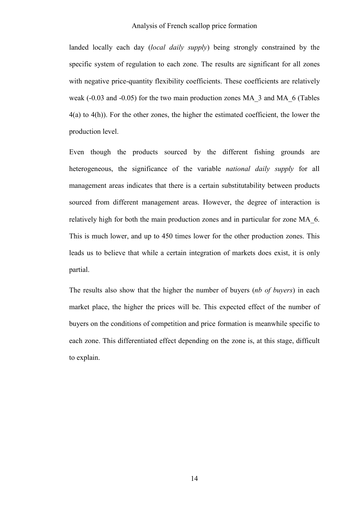landed locally each day (*local daily supply*) being strongly constrained by the specific system of regulation to each zone. The results are significant for all zones with negative price-quantity flexibility coefficients. These coefficients are relatively weak (-0.03 and -0.05) for the two main production zones MA\_3 and MA\_6 (Tables 4(a) to 4(h)). For the other zones, the higher the estimated coefficient, the lower the production level.

Even though the products sourced by the different fishing grounds are heterogeneous, the significance of the variable *national daily supply* for all management areas indicates that there is a certain substitutability between products sourced from different management areas. However, the degree of interaction is relatively high for both the main production zones and in particular for zone MA\_6. This is much lower, and up to 450 times lower for the other production zones. This leads us to believe that while a certain integration of markets does exist, it is only partial.

The results also show that the higher the number of buyers (*nb of buyers*) in each market place, the higher the prices will be. This expected effect of the number of buyers on the conditions of competition and price formation is meanwhile specific to each zone. This differentiated effect depending on the zone is, at this stage, difficult to explain.

14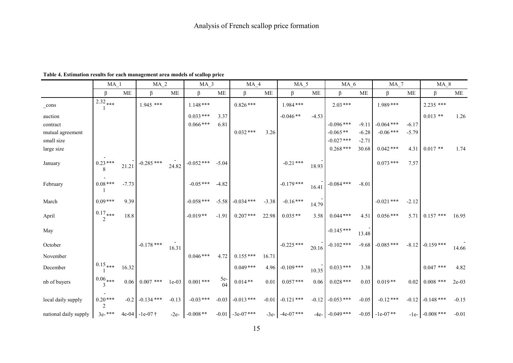|                       | $MA_1$                      |         | MA <sub>2</sub>  |           | MA 3         |             | $MA_4$              |         | $MA_5$               |         | MA 6         |         | MA <sub>7</sub>    |         | <b>MA 8</b>      |         |
|-----------------------|-----------------------------|---------|------------------|-----------|--------------|-------------|---------------------|---------|----------------------|---------|--------------|---------|--------------------|---------|------------------|---------|
|                       | ß                           | ME      | ß                | <b>ME</b> | β            | ME          | ß                   | ME      | ß                    | ME      | β            | ME      | β                  | ME      | $\beta$          | МE      |
| $\_cons$              | $2.32$ ***                  |         | 1.945 ***        |           | $1.148***$   |             | $0.826***$          |         | 1.984***             |         | $2.03***$    |         | 1.989***           |         | 2.235 ***        |         |
| auction               |                             |         |                  |           | $0.033***$   | 3.37        |                     |         | $-0.046**$           | $-4.53$ |              |         |                    |         | $0.013$ **       | 1.26    |
| contract              |                             |         |                  |           | $0.066$ ***  | 6.81        |                     |         |                      |         | $-0.096$ *** | $-9.11$ | $-0.064$ ***       | $-6.17$ |                  |         |
| mutual agreement      |                             |         |                  |           |              |             | $0.032***$          | 3.26    |                      |         | $-0.065**$   | $-6.28$ | $-0.06$ ***        | $-5.79$ |                  |         |
| small size            |                             |         |                  |           |              |             |                     |         |                      |         | $-0.027$ *** | $-2.71$ |                    |         |                  |         |
| large size            |                             |         |                  |           |              |             |                     |         |                      |         | $0.268***$   | 30.68   | $0.042$ ***        | 4.31    | $0.017**$        | 1.74    |
| January               | $0.23***$<br>8              | 21.21   | $-0.285$ ***     | 24.82     | $-0.052$ *** | $-5.04$     |                     |         | $-0.21$ ***          | 18.93   |              |         | $0.073$ ***        | 7.57    |                  |         |
| February              | $0.08***$                   | $-7.73$ |                  |           | $-0.05$ ***  | $-4.82$     |                     |         | $-0.179$ ***         | 16.41   | $-0.084$ *** | $-8.01$ |                    |         |                  |         |
| March                 | $0.09***$                   | 9.39    |                  |           | $-0.058$ *** | $-5.58$     | $-0.034$ ***        | $-3.38$ | $-0.16***$           | 14.79   |              |         | $-0.021$ ***       | $-2.12$ |                  |         |
| April                 | $0.17$ ***<br>2             | 18.8    |                  |           | $-0.019**$   | $-1.91$     | $0.207***$          | 22.98   | $0.035**$            | 3.58    | $0.044$ ***  | 4.51    | $0.056***$         | 5.71    | $0.157$ ***      | 16.95   |
| May                   |                             |         |                  |           |              |             |                     |         |                      |         | $-0.145***$  | 13.48   |                    |         |                  |         |
| October               |                             |         | $-0.178$ ***     | 16.31     |              |             |                     |         | $-0.225$ ***         | 20.16   | $-0.102$ *** | $-9.68$ | $-0.085***$        | $-8.12$ | $-0.159$ ***     | 14.66   |
| November              |                             |         |                  |           | $0.046***$   | 4.72        | $0.155***$          | 16.71   |                      |         |              |         |                    |         |                  |         |
| December              | $0.15_{\ast\ast\ast}$       | 16.32   |                  |           |              |             | $0.049***$          | 4.96    | $-0.109$ ***         | 10.35   | $0.033***$   | 3.38    |                    |         | $0.047$ ***      | 4.82    |
| nb of buyers          | $0.06$ ***<br>$\mathcal{E}$ | 0.06    | $0.007$ ***      | $1e-03$   | $0.001$ ***  | $5e-$<br>04 | $0.014**$           | 0.01    | $0.057***$           | 0.06    | $0.028***$   | 0.03    | $0.019**$          | 0.02    | $0.008$ ***      | $2e-03$ |
| local daily supply    | $0.20***$<br>2              | $-0.2$  | $-0.134$ ***     | $-0.13$   | $-0.03$ ***  | $-0.03$     | $-0.013$ ***        | $-0.01$ | $-0.121$ ***         | $-0.12$ | $-0.053$ *** | $-0.05$ | $-0.12***$         | $-0.12$ | $-0.148$ ***     | $-0.15$ |
| national daily supply | $3e^{-***}$                 |         | 4e-04 $-1e-07$ † | $-2e-$    | $-0.008**$   |             | $-0.01 - 3e-07$ *** |         | $-3e$ - $-4e-07$ *** | $-4e-$  | $-0.049$ *** |         | $-0.05$ $-1e-07**$ |         | $-1e- 0.008$ *** | $-0.01$ |

### **Table 4. Estimation results for each management area models of scallop price**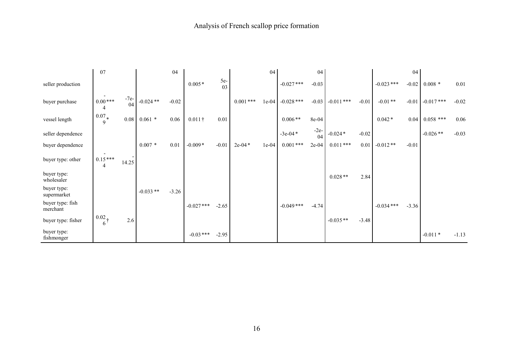|                              | 07                           |              |             | 04      |                |             |             | 04      |              | 04           |              |         |              | 04      |              |         |
|------------------------------|------------------------------|--------------|-------------|---------|----------------|-------------|-------------|---------|--------------|--------------|--------------|---------|--------------|---------|--------------|---------|
| seller production            |                              |              |             |         | $0.005*$       | $5e-$<br>03 |             |         | $-0.027$ *** | $-0.03$      |              |         | $-0.023$ *** | $-0.02$ | $0.008*$     | 0.01    |
| buyer purchase               | $0.00***$<br>4               | $-7e-$<br>04 | $-0.024$ ** | $-0.02$ |                |             | $0.001$ *** | $1e-04$ | $-0.028$ *** | $-0.03$      | $-0.011$ *** | $-0.01$ | $-0.01**$    | $-0.01$ | $-0.017$ *** | $-0.02$ |
| vessel length                | $0.07*$<br>9                 | $0.08\,$     | $0.061$ *   | 0.06    | $0.011\dagger$ | 0.01        |             |         | $0.006**$    | 8e-04        |              |         | $0.042*$     | 0.04    | $0.058$ ***  | 0.06    |
| seller dependence            |                              |              |             |         |                |             |             |         | $-3e-04*$    | $-2e-$<br>04 | $-0.024*$    | $-0.02$ |              |         | $-0.026**$   | $-0.03$ |
| buyer dependence             |                              |              | $0.007 *$   | 0.01    | $-0.009*$      | $-0.01$     | $2e-04*$    | $1e-04$ | $0.001$ ***  | $2e-04$      | $0.011***$   | 0.01    | $-0.012**$   | $-0.01$ |              |         |
| buyer type: other            | $0.15***$<br>4               | 14.25        |             |         |                |             |             |         |              |              |              |         |              |         |              |         |
| buyer type:<br>wholesaler    |                              |              |             |         |                |             |             |         |              |              | $0.028**$    | 2.84    |              |         |              |         |
| buyer type:<br>supermarket   |                              |              | $-0.033**$  | $-3.26$ |                |             |             |         |              |              |              |         |              |         |              |         |
| buyer type: fish<br>merchant |                              |              |             |         | $-0.027$ ***   | $-2.65$     |             |         | $-0.049$ *** | $-4.74$      |              |         | $-0.034***$  | $-3.36$ |              |         |
| buyer type: fisher           | $0.02 +$<br>$6 \overline{6}$ | 2.6          |             |         |                |             |             |         |              |              | $-0.035**$   | $-3.48$ |              |         |              |         |
| buyer type:<br>fishmonger    |                              |              |             |         | $-0.03***$     | $-2.95$     |             |         |              |              |              |         |              |         | $-0.011*$    | $-1.13$ |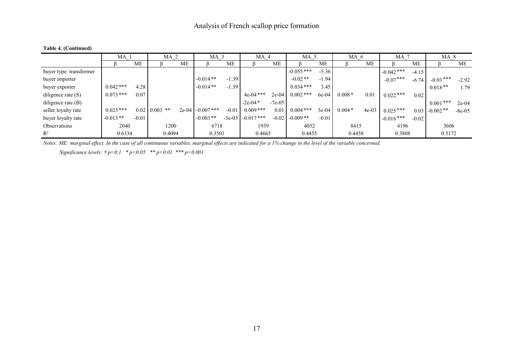|                         | MA 1             |         | MA <sub>2</sub>     |           | MA <sub>3</sub>    |           | MA <sub>4</sub>      |           | MA <sub>5</sub>    |         | MA <sub>6</sub> |           | MA <sub>7</sub> |           | MA 8            |          |
|-------------------------|------------------|---------|---------------------|-----------|--------------------|-----------|----------------------|-----------|--------------------|---------|-----------------|-----------|-----------------|-----------|-----------------|----------|
|                         |                  | МE      |                     | <b>ME</b> |                    | <b>ME</b> |                      | <b>ME</b> |                    | ME      |                 | <b>ME</b> |                 | <b>ME</b> |                 | МE       |
| buyer type: transformer |                  |         |                     |           |                    |           |                      |           | $-0.055$ ***       | $-5.36$ |                 |           | $-0.042$ ***    | $-4.15$   |                 |          |
| buyer importer          |                  |         |                     |           | $-0.014**$         | $-1.39$   |                      |           | $-0.02**$          | $-1.94$ |                 |           | $-0.07***$      | $-6.74$   | $-0.03***$      | $-2.92$  |
| buyer exporter          | $0.042***$       | 4.28    |                     |           | $-0.014**$         | $-1.39$   |                      |           | $0.034***$         | 3.45    |                 |           |                 |           | $0.018**$       | 1.79     |
| diligence rate $(S)$    | $0.073***$       | 0.07    |                     |           |                    |           | $4e-04$ ***          | $2e-04$   | $0.002$ ***        | 6e-04   | $0.008*$        | 0.01      | $0.022***$      | 0.02      |                 |          |
| diligence rate $(B)$    |                  |         |                     |           |                    |           | $-2e-04*$            | $-7e-05$  |                    |         |                 |           |                 |           | $0.001***$      | $2e-04$  |
| seller loyalty rate     | $0.023***$       |         | $0.02 \pm 0.003$ ** |           | 2e-04 $-0.007$ *** | $-0.01$   | $0.009***$           | 0.01      | $0.004$ ***        | $3e-04$ | $0.004*$        | $4e-03$   | $0.025***$      |           | $0.03$ -0.002** | $-8e-05$ |
| buyer loyalty rate      | $-0.013**$       | $-0.01$ |                     |           | $-0.003**$         |           | $-3e-03$ $-0.017***$ |           | $-0.02$ $-0.009**$ | $-0.01$ |                 |           | $-0.016***$     | $-0.02$   |                 |          |
| <b>Observations</b>     | 2040             |         | 1200                |           | 6718               |           | 1939                 |           | 4052               |         | 8415            |           | 4196            |           | 3606            |          |
| $R^2$                   | 0.6334<br>0.4094 |         | 0.3501              |           | 0.4665             |           | 0.4455               |           | 0.4458             |         | 0.3808          |           | 0.5172          |           |                 |          |

### **Table 4. (Continued)**

*Notes: ME: marginal effect. In the case of all continuous variables, marginal effects are indicated for a 1% change in the level of the variable concerned.* 

*Significance levels: † p<0.1 \* p<0.05 \*\* p<0.01 \*\*\* p<0.001*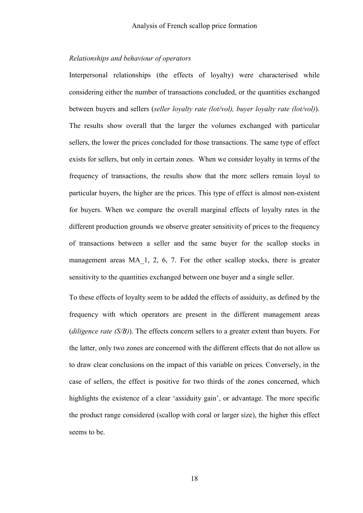### *Relationships and behaviour of operators*

Interpersonal relationships (the effects of loyalty) were characterised while considering either the number of transactions concluded, or the quantities exchanged between buyers and sellers (*seller loyalty rate (lot/vol), buyer loyalty rate (lot/vol)*). The results show overall that the larger the volumes exchanged with particular sellers, the lower the prices concluded for those transactions. The same type of effect exists for sellers, but only in certain zones. When we consider loyalty in terms of the frequency of transactions, the results show that the more sellers remain loyal to particular buyers, the higher are the prices. This type of effect is almost non-existent for buyers. When we compare the overall marginal effects of loyalty rates in the different production grounds we observe greater sensitivity of prices to the frequency of transactions between a seller and the same buyer for the scallop stocks in management areas MA 1, 2, 6, 7. For the other scallop stocks, there is greater sensitivity to the quantities exchanged between one buyer and a single seller.

To these effects of loyalty seem to be added the effects of assiduity, as defined by the frequency with which operators are present in the different management areas (*diligence rate (S/B)*). The effects concern sellers to a greater extent than buyers. For the latter, only two zones are concerned with the different effects that do not allow us to draw clear conclusions on the impact of this variable on prices. Conversely, in the case of sellers, the effect is positive for two thirds of the zones concerned, which highlights the existence of a clear 'assiduity gain', or advantage. The more specific the product range considered (scallop with coral or larger size), the higher this effect seems to be.

18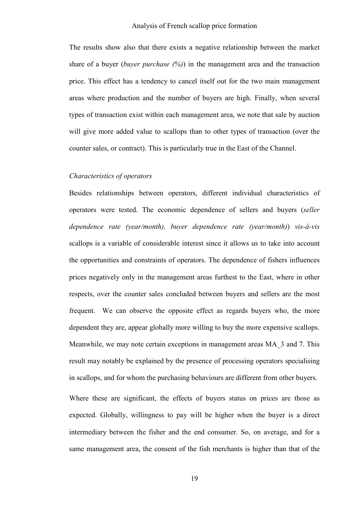The results show also that there exists a negative relationship between the market share of a buyer (*buyer purchase (%)*) in the management area and the transaction price. This effect has a tendency to cancel itself out for the two main management areas where production and the number of buyers are high. Finally, when several types of transaction exist within each management area, we note that sale by auction will give more added value to scallops than to other types of transaction (over the counter sales, or contract). This is particularly true in the East of the Channel.

### *Characteristics of operators*

Besides relationships between operators, different individual characteristics of operators were tested. The economic dependence of sellers and buyers (*seller dependence rate (year/month), buyer dependence rate (year/month)*) *vis-à-vis* scallops is a variable of considerable interest since it allows us to take into account the opportunities and constraints of operators. The dependence of fishers influences prices negatively only in the management areas furthest to the East, where in other respects, over the counter sales concluded between buyers and sellers are the most frequent. We can observe the opposite effect as regards buyers who, the more dependent they are, appear globally more willing to buy the more expensive scallops. Meanwhile, we may note certain exceptions in management areas MA\_3 and 7. This result may notably be explained by the presence of processing operators specialising in scallops, and for whom the purchasing behaviours are different from other buyers.

Where these are significant, the effects of buyers status on prices are those as expected. Globally, willingness to pay will be higher when the buyer is a direct intermediary between the fisher and the end consumer. So, on average, and for a same management area, the consent of the fish merchants is higher than that of the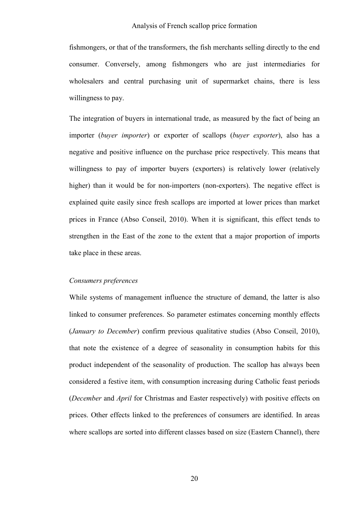fishmongers, or that of the transformers, the fish merchants selling directly to the end consumer. Conversely, among fishmongers who are just intermediaries for wholesalers and central purchasing unit of supermarket chains, there is less willingness to pay.

The integration of buyers in international trade, as measured by the fact of being an importer (*buyer importer*) or exporter of scallops (*buyer exporter*), also has a negative and positive influence on the purchase price respectively. This means that willingness to pay of importer buyers (exporters) is relatively lower (relatively higher) than it would be for non-importers (non-exporters). The negative effect is explained quite easily since fresh scallops are imported at lower prices than market prices in France (Abso Conseil, 2010). When it is significant, this effect tends to strengthen in the East of the zone to the extent that a major proportion of imports take place in these areas.

### *Consumers preferences*

While systems of management influence the structure of demand, the latter is also linked to consumer preferences. So parameter estimates concerning monthly effects (*January to December*) confirm previous qualitative studies (Abso Conseil, 2010), that note the existence of a degree of seasonality in consumption habits for this product independent of the seasonality of production. The scallop has always been considered a festive item, with consumption increasing during Catholic feast periods (*December* and *April* for Christmas and Easter respectively) with positive effects on prices. Other effects linked to the preferences of consumers are identified. In areas where scallops are sorted into different classes based on size (Eastern Channel), there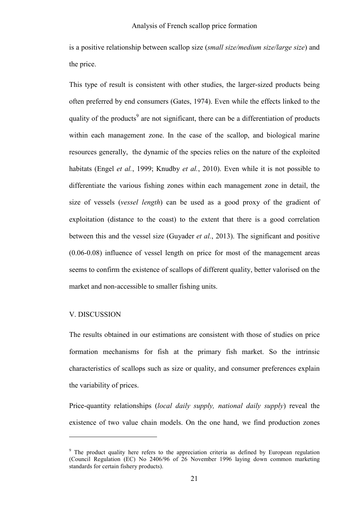is a positive relationship between scallop size (*small size/medium size/large size*) and the price.

This type of result is consistent with other studies, the larger-sized products being often preferred by end consumers (Gates, 1974). Even while the effects linked to the quality of the products<sup>9</sup> are not significant, there can be a differentiation of products within each management zone. In the case of the scallop, and biological marine resources generally, the dynamic of the species relies on the nature of the exploited habitats (Engel *et al.*, 1999; Knudby *et al.*, 2010). Even while it is not possible to differentiate the various fishing zones within each management zone in detail, the size of vessels (*vessel length*) can be used as a good proxy of the gradient of exploitation (distance to the coast) to the extent that there is a good correlation between this and the vessel size (Guyader *et al.*, 2013). The significant and positive (0.06-0.08) influence of vessel length on price for most of the management areas seems to confirm the existence of scallops of different quality, better valorised on the market and non-accessible to smaller fishing units.

### V. DISCUSSION

 $\overline{a}$ 

The results obtained in our estimations are consistent with those of studies on price formation mechanisms for fish at the primary fish market. So the intrinsic characteristics of scallops such as size or quality, and consumer preferences explain the variability of prices.

Price-quantity relationships (*local daily supply, national daily supply*) reveal the existence of two value chain models. On the one hand, we find production zones

<sup>&</sup>lt;sup>9</sup> The product quality here refers to the appreciation criteria as defined by European regulation (Council Regulation (EC) No 2406/96 of 26 November 1996 laying down common marketing standards for certain fishery products).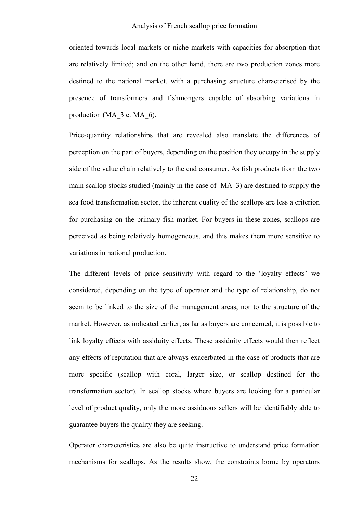oriented towards local markets or niche markets with capacities for absorption that are relatively limited; and on the other hand, there are two production zones more destined to the national market, with a purchasing structure characterised by the presence of transformers and fishmongers capable of absorbing variations in production (MA\_3 et MA\_6).

Price-quantity relationships that are revealed also translate the differences of perception on the part of buyers, depending on the position they occupy in the supply side of the value chain relatively to the end consumer. As fish products from the two main scallop stocks studied (mainly in the case of MA\_3) are destined to supply the sea food transformation sector, the inherent quality of the scallops are less a criterion for purchasing on the primary fish market. For buyers in these zones, scallops are perceived as being relatively homogeneous, and this makes them more sensitive to variations in national production.

The different levels of price sensitivity with regard to the 'loyalty effects' we considered, depending on the type of operator and the type of relationship, do not seem to be linked to the size of the management areas, nor to the structure of the market. However, as indicated earlier, as far as buyers are concerned, it is possible to link loyalty effects with assiduity effects. These assiduity effects would then reflect any effects of reputation that are always exacerbated in the case of products that are more specific (scallop with coral, larger size, or scallop destined for the transformation sector). In scallop stocks where buyers are looking for a particular level of product quality, only the more assiduous sellers will be identifiably able to guarantee buyers the quality they are seeking.

Operator characteristics are also be quite instructive to understand price formation mechanisms for scallops. As the results show, the constraints borne by operators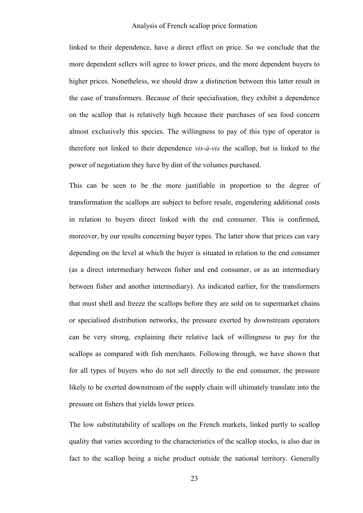linked to their dependence, have a direct effect on price. So we conclude that the more dependent sellers will agree to lower prices, and the more dependent buyers to higher prices. Nonetheless, we should draw a distinction between this latter result in the case of transformers. Because of their specialisation, they exhibit a dependence on the scallop that is relatively high because their purchases of sea food concern almost exclusively this species. The willingness to pay of this type of operator is therefore not linked to their dependence *vis-à-vis* the scallop, but is linked to the power of negotiation they have by dint of the volumes purchased.

This can be seen to be the more justifiable in proportion to the degree of transformation the scallops are subject to before resale, engendering additional costs in relation to buyers direct linked with the end consumer. This is confirmed, moreover, by our results concerning buyer types. The latter show that prices can vary depending on the level at which the buyer is situated in relation to the end consumer (as a direct intermediary between fisher and end consumer, or as an intermediary between fisher and another intermediary). As indicated earlier, for the transformers that must shell and freeze the scallops before they are sold on to supermarket chains or specialised distribution networks, the pressure exerted by downstream operators can be very strong, explaining their relative lack of willingness to pay for the scallops as compared with fish merchants. Following through, we have shown that for all types of buyers who do not sell directly to the end consumer, the pressure likely to be exerted downstream of the supply chain will ultimately translate into the pressure on fishers that yields lower prices.

The low substitutability of scallops on the French markets, linked partly to scallop quality that varies according to the characteristics of the scallop stocks, is also due in fact to the scallop being a niche product outside the national territory. Generally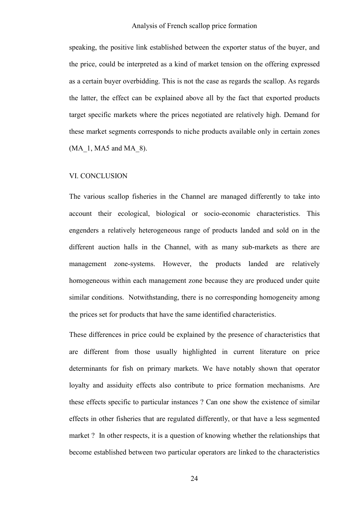speaking, the positive link established between the exporter status of the buyer, and the price, could be interpreted as a kind of market tension on the offering expressed as a certain buyer overbidding. This is not the case as regards the scallop. As regards the latter, the effect can be explained above all by the fact that exported products target specific markets where the prices negotiated are relatively high. Demand for these market segments corresponds to niche products available only in certain zones  $(MA_1, MA5$  and MA  $8)$ .

### VI. CONCLUSION

The various scallop fisheries in the Channel are managed differently to take into account their ecological, biological or socio-economic characteristics. This engenders a relatively heterogeneous range of products landed and sold on in the different auction halls in the Channel, with as many sub-markets as there are management zone-systems. However, the products landed are relatively homogeneous within each management zone because they are produced under quite similar conditions. Notwithstanding, there is no corresponding homogeneity among the prices set for products that have the same identified characteristics.

These differences in price could be explained by the presence of characteristics that are different from those usually highlighted in current literature on price determinants for fish on primary markets. We have notably shown that operator loyalty and assiduity effects also contribute to price formation mechanisms. Are these effects specific to particular instances ? Can one show the existence of similar effects in other fisheries that are regulated differently, or that have a less segmented market ? In other respects, it is a question of knowing whether the relationships that become established between two particular operators are linked to the characteristics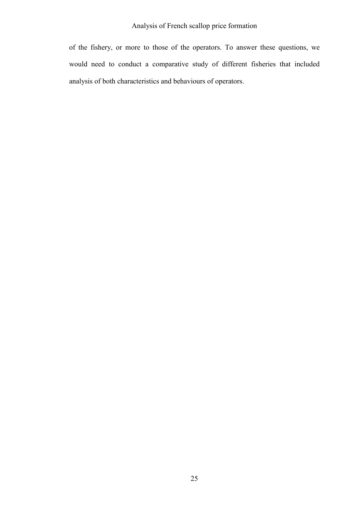of the fishery, or more to those of the operators. To answer these questions, we would need to conduct a comparative study of different fisheries that included analysis of both characteristics and behaviours of operators.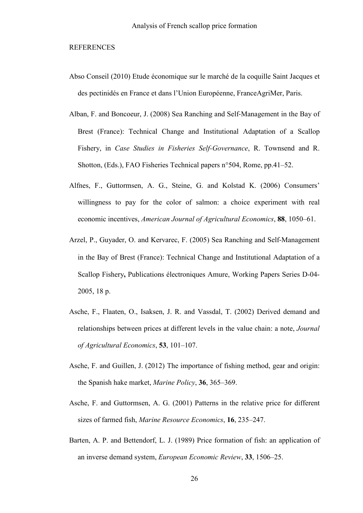### REFERENCES

- Abso Conseil (2010) Etude économique sur le marché de la coquille Saint Jacques et des pectinidés en France et dans l'Union Européenne, FranceAgriMer, Paris.
- Alban, F. and Boncoeur, J. (2008) Sea Ranching and Self‐Management in the Bay of Brest (France): Technical Change and Institutional Adaptation of a Scallop Fishery, in *Case Studies in Fisheries Self-Governance*, R. Townsend and R. Shotton, (Eds.), FAO Fisheries Technical papers n°504, Rome, pp.41–52.
- Alfnes, F., Guttormsen, A. G., Steine, G. and Kolstad K. (2006) Consumers' willingness to pay for the color of salmon: a choice experiment with real economic incentives, *American Journal of Agricultural Economics*, **88**, 1050–61.
- Arzel, P., Guyader, O. and Kervarec, F. (2005) Sea Ranching and Self‐Management in the Bay of Brest (France): Technical Change and Institutional Adaptation of a Scallop Fishery**,** Publications électroniques Amure, Working Papers Series D-04- 2005, 18 p.
- Asche, F., Flaaten, O., Isaksen, J. R. and Vassdal, T. (2002) Derived demand and relationships between prices at different levels in the value chain: a note, *Journal of Agricultural Economics*, **53**, 101–107.
- Asche, F. and Guillen, J. (2012) The importance of fishing method, gear and origin: the Spanish hake market, *Marine Policy*, **36**, 365–369.
- Asche, F. and Guttormsen, A. G. (2001) Patterns in the relative price for different sizes of farmed fish, *Marine Resource Economics*, **16**, 235–247.
- Barten, A. P. and Bettendorf, L. J. (1989) Price formation of fish: an application of an inverse demand system, *European Economic Review*, **33**, 1506–25.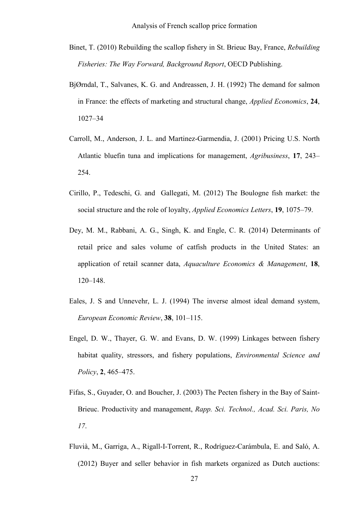- Binet, T. (2010) Rebuilding the scallop fishery in St. Brieuc Bay, France, *Rebuilding Fisheries: The Way Forward, Background Report*, OECD Publishing.
- BjØrndal, T., Salvanes, K. G. and Andreassen, J. H. (1992) The demand for salmon in France: the effects of marketing and structural change, *Applied Economics*, **24**, 1027–34
- Carroll, M., Anderson, J. L. and Martinez-Garmendia, J. (2001) Pricing U.S. North Atlantic bluefin tuna and implications for management, *Agribusiness*, **17**, 243– 254.
- Cirillo, P., Tedeschi, G. and Gallegati, M. (2012) The Boulogne fish market: the social structure and the role of loyalty, *Applied Economics Letters*, **19**, 1075–79.
- Dey, M. M., Rabbani, A. G., Singh, K. and Engle, C. R. (2014) Determinants of retail price and sales volume of catfish products in the United States: an application of retail scanner data, *Aquaculture Economics & Management*, **18**, 120–148.
- Eales, J. S and Unnevehr, L. J. (1994) The inverse almost ideal demand system, *European Economic Review*, **38**, 101–115.
- Engel, D. W., Thayer, G. W. and Evans, D. W. (1999) Linkages between fishery habitat quality, stressors, and fishery populations, *Environmental Science and Policy*, **2**, 465–475.
- Fifas, S., Guyader, O. and Boucher, J. (2003) The Pecten fishery in the Bay of Saint-Brieuc. Productivity and management, *Rapp. Sci. Technol., Acad. Sci. Paris, No 17*.
- Fluvià, M., Garriga, A., Rigall-I-Torrent, R., Rodríguez-Carámbula, E. and Saló, A. (2012) Buyer and seller behavior in fish markets organized as Dutch auctions: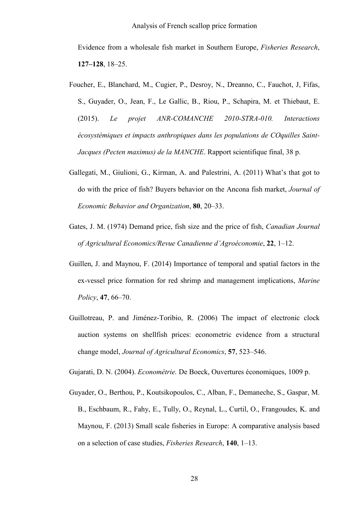Evidence from a wholesale fish market in Southern Europe, *Fisheries Research*, **127–128**, 18–25.

- Foucher, E., Blanchard, M., Cugier, P., Desroy, N., Dreanno, C., Fauchot, J, Fifas, S., Guyader, O., Jean, F., Le Gallic, B., Riou, P., Schapira, M. et Thiebaut, E. (2015). *Le projet ANR-COMANCHE 2010-STRA-010. Interactions écosystémiques et impacts anthropiques dans les populations de COquilles Saint-Jacques (Pecten maximus) de la MANCHE*. Rapport scientifique final, 38 p.
- Gallegati, M., Giulioni, G., Kirman, A. and Palestrini, A. (2011) What's that got to do with the price of fish? Buyers behavior on the Ancona fish market, *Journal of Economic Behavior and Organization*, **80**, 20–33.
- Gates, J. M. (1974) Demand price, fish size and the price of fish, *Canadian Journal of Agricultural Economics/Revue Canadienne d'Agroéconomie*, **22**, 1–12.
- Guillen, J. and Maynou, F. (2014) Importance of temporal and spatial factors in the ex-vessel price formation for red shrimp and management implications, *Marine Policy*, **47**, 66–70.
- Guillotreau, P. and Jiménez-Toribio, R. (2006) The impact of electronic clock auction systems on shellfish prices: econometric evidence from a structural change model, *Journal of Agricultural Economics*, **57**, 523–546.

Gujarati, D. N. (2004). *Econométrie.* De Boeck, Ouvertures économiques, 1009 p.

Guyader, O., Berthou, P., Koutsikopoulos, C., Alban, F., Demaneche, S., Gaspar, M. B., Eschbaum, R., Fahy, E., Tully, O., Reynal, L., Curtil, O., Frangoudes, K. and Maynou, F. (2013) Small scale fisheries in Europe: A comparative analysis based on a selection of case studies, *Fisheries Research*, **140**, 1–13.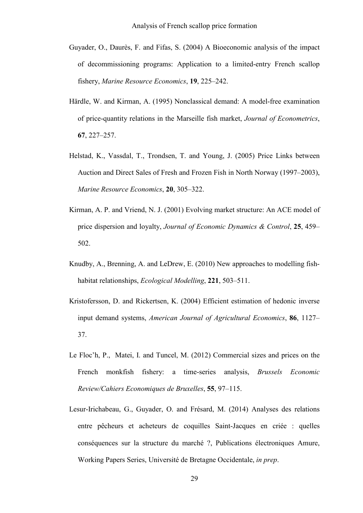- Guyader, O., Daurès, F. and Fifas, S. (2004) A Bioeconomic analysis of the impact of decommissioning programs: Application to a limited-entry French scallop fishery, *Marine Resource Economics*, **19**, 225–242.
- Härdle, W. and Kirman, A. (1995) Nonclassical demand: A model-free examination of price-quantity relations in the Marseille fish market, *Journal of Econometrics*, **67**, 227–257.
- Helstad, K., Vassdal, T., Trondsen, T. and Young, J. (2005) Price Links between Auction and Direct Sales of Fresh and Frozen Fish in North Norway (1997–2003), *Marine Resource Economics*, **20**, 305–322.
- Kirman, A. P. and Vriend, N. J. (2001) Evolving market structure: An ACE model of price dispersion and loyalty, *Journal of Economic Dynamics & Control*, **25**, 459– 502.
- Knudby, A., Brenning, A. and LeDrew, E. (2010) New approaches to modelling fishhabitat relationships, *Ecological Modelling*, **221**, 503–511.
- Kristofersson, D. and Rickertsen, K. (2004) Efficient estimation of hedonic inverse input demand systems, *American Journal of Agricultural Economics*, **86**, 1127– 37.
- Le Floc'h, P., Matei, I. and Tuncel, M. (2012) Commercial sizes and prices on the French monkfish fishery: a time-series analysis, *Brussels Economic Review/Cahiers Economiques de Bruxelles*, **55**, 97–115.
- Lesur-Irichabeau, G., Guyader, O. and Frésard, M. (2014) Analyses des relations entre pêcheurs et acheteurs de coquilles Saint-Jacques en criée : quelles conséquences sur la structure du marché ?, Publications électroniques Amure, Working Papers Series, Université de Bretagne Occidentale, *in prep*.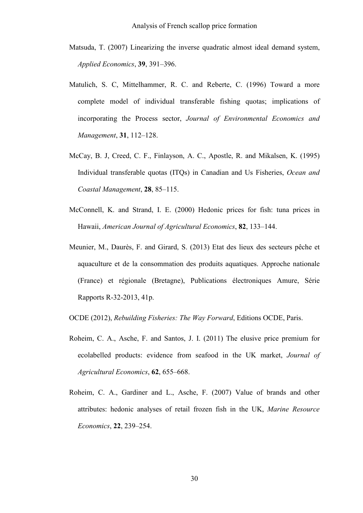- Matsuda, T. (2007) Linearizing the inverse quadratic almost ideal demand system, *Applied Economics*, **39**, 391–396.
- Matulich, S. C, Mittelhammer, R. C. and Reberte, C. (1996) Toward a more complete model of individual transferable fishing quotas; implications of incorporating the Process sector, *Journal of Environmental Economics and Management*, **31**, 112–128.
- McCay, B. J, Creed, C. F., Finlayson, A. C., Apostle, R. and Mikalsen, K. (1995) Individual transferable quotas (ITQs) in Canadian and Us Fisheries, *Ocean and Coastal Management*, **28**, 85–115.
- McConnell, K. and Strand, I. E. (2000) Hedonic prices for fish: tuna prices in Hawaii, *American Journal of Agricultural Economics*, **82**, 133–144.
- Meunier, M., Daurès, F. and Girard, S. (2013) Etat des lieux des secteurs pêche et aquaculture et de la consommation des produits aquatiques. Approche nationale (France) et régionale (Bretagne), Publications électroniques Amure, Série Rapports R-32-2013, 41p.

OCDE (2012), *Rebuilding Fisheries: The Way Forward*, Editions OCDE, Paris.

- Roheim, C. A., Asche, F. and Santos, J. I. (2011) The elusive price premium for ecolabelled products: evidence from seafood in the UK market, *Journal of Agricultural Economics*, **62**, 655–668.
- Roheim, C. A., Gardiner and L., Asche, F. (2007) Value of brands and other attributes: hedonic analyses of retail frozen fish in the UK, *Marine Resource Economics*, **22**, 239–254.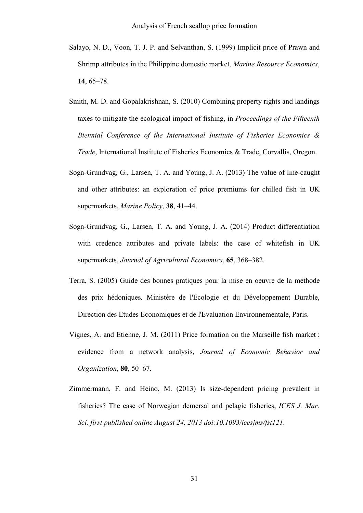- Salayo, N. D., Voon, T. J. P. and Selvanthan, S. (1999) Implicit price of Prawn and Shrimp attributes in the Philippine domestic market, *Marine Resource Economics*, **14**, 65–78.
- Smith, M. D. and Gopalakrishnan, S. (2010) Combining property rights and landings taxes to mitigate the ecological impact of fishing, in *Proceedings of the Fifteenth Biennial Conference of the International Institute of Fisheries Economics & Trade*, International Institute of Fisheries Economics & Trade, Corvallis, Oregon.
- Sogn-Grundvag, G., Larsen, T. A. and Young, J. A. (2013) The value of line-caught and other attributes: an exploration of price premiums for chilled fish in UK supermarkets, *Marine Policy*, **38**, 41–44.
- Sogn-Grundvag, G., Larsen, T. A. and Young, J. A. (2014) Product differentiation with credence attributes and private labels: the case of whitefish in UK supermarkets, *Journal of Agricultural Economics*, **65**, 368–382.
- Terra, S. (2005) Guide des bonnes pratiques pour la mise en oeuvre de la méthode des prix hédoniques*,* Ministère de l'Ecologie et du Développement Durable, Direction des Etudes Economiques et de l'Evaluation Environnementale, Paris.
- Vignes, A. and Etienne, J. M. (2011) Price formation on the Marseille fish market : evidence from a network analysis, *Journal of Economic Behavior and Organization*, **80**, 50–67.
- Zimmermann, F. and Heino, M. (2013) Is size-dependent pricing prevalent in fisheries? The case of Norwegian demersal and pelagic fisheries, *ICES J. Mar. Sci. first published online August 24, 2013 doi:10.1093/icesjms/fst121*.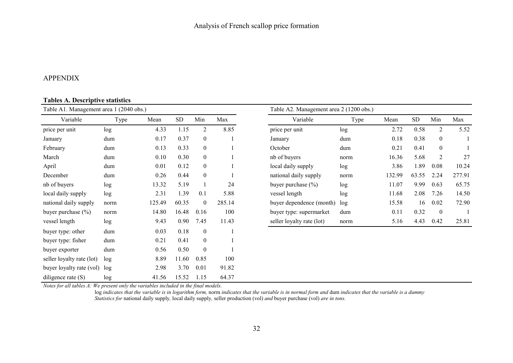## APPENDIX

### **Tables A. Descriptive statistics**

| Table A1. Management area 1 (2040 obs.) |      |        |           |                  |        | Table A2. Management area 2 (1200 obs.) |      |        |           |                  |        |  |  |
|-----------------------------------------|------|--------|-----------|------------------|--------|-----------------------------------------|------|--------|-----------|------------------|--------|--|--|
| Variable                                | Type | Mean   | <b>SD</b> | Min              | Max    | Variable                                | Type | Mean   | <b>SD</b> | Min              | Max    |  |  |
| price per unit                          | log  | 4.33   | 1.15      | $\overline{2}$   | 8.85   | price per unit                          | log  | 2.72   | 0.58      | $\overline{2}$   | 5.52   |  |  |
| January                                 | dum  | 0.17   | 0.37      | $\boldsymbol{0}$ |        | January                                 | dum  | 0.18   | 0.38      | $\mathbf{0}$     |        |  |  |
| February                                | dum  | 0.13   | 0.33      | $\boldsymbol{0}$ |        | October                                 | dum  | 0.21   | 0.41      | $\boldsymbol{0}$ |        |  |  |
| March                                   | dum  | 0.10   | 0.30      | $\boldsymbol{0}$ |        | nb of buyers                            | norm | 16.36  | 5.68      | 2                | 27     |  |  |
| April                                   | dum  | 0.01   | 0.12      | $\boldsymbol{0}$ |        | local daily supply                      | log  | 3.86   | 1.89      | 0.08             | 10.24  |  |  |
| December                                | dum  | 0.26   | 0.44      | $\boldsymbol{0}$ |        | national daily supply                   | norm | 132.99 | 63.55     | 2.24             | 277.91 |  |  |
| nb of buyers                            | log  | 13.32  | 5.19      |                  | 24     | buyer purchase $(\% )$                  | log  | 11.07  | 9.99      | 0.63             | 65.75  |  |  |
| local daily supply                      | log  | 2.31   | 1.39      | 0.1              | 5.88   | vessel length                           | log  | 11.68  | 2.08      | 7.26             | 14.50  |  |  |
| national daily supply                   | norm | 125.49 | 60.35     | $\boldsymbol{0}$ | 285.14 | buyer dependence (month)                | log  | 15.58  | 16        | 0.02             | 72.90  |  |  |
| buyer purchase $(\% )$                  | norm | 14.80  | 16.48     | 0.16             | 100    | buyer type: supermarket                 | dum  | 0.11   | 0.32      | $\boldsymbol{0}$ |        |  |  |
| vessel length                           | log  | 9.43   | 0.90      | 7.45             | 11.43  | seller loyalty rate (lot)               | norm | 5.16   | 4.43      | 0.42             | 25.81  |  |  |
| buyer type: other                       | dum  | 0.03   | 0.18      | $\boldsymbol{0}$ |        |                                         |      |        |           |                  |        |  |  |
| buyer type: fisher                      | dum  | 0.21   | 0.41      | $\boldsymbol{0}$ |        |                                         |      |        |           |                  |        |  |  |
| buyer exporter                          | dum  | 0.56   | 0.50      | $\boldsymbol{0}$ |        |                                         |      |        |           |                  |        |  |  |
| seller loyalty rate (lot)               | log  | 8.89   | 11.60     | 0.85             | 100    |                                         |      |        |           |                  |        |  |  |
| buyer loyalty rate (vol)                | log  | 2.98   | 3.70      | 0.01             | 91.82  |                                         |      |        |           |                  |        |  |  |
| diligence rate $(S)$                    | log  | 41.56  | 15.52     | 1.15             | 64.37  |                                         |      |        |           |                  |        |  |  |

Notes for all tables A: We present only the variables included in the final models.<br>log indicates that the variable is in logarithm form, norm indicates that the variable is in normal form and dum indicates that the variab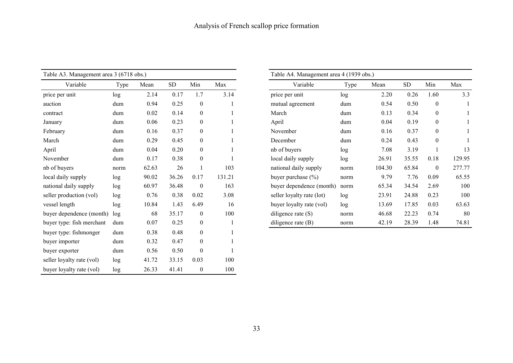| Table A3. Management area 3 (6718 obs.) |      |       |            |                  |        | Table A4. Management area 4 (1939 obs.) |      |   |
|-----------------------------------------|------|-------|------------|------------------|--------|-----------------------------------------|------|---|
|                                         |      |       |            |                  |        |                                         |      |   |
| Variable                                | Type | Mean  | ${\rm SD}$ | Min              | Max    | Variable                                | Type | N |
| price per unit                          | log  | 2.14  | 0.17       | 1.7              | 3.14   | price per unit                          | log  |   |
| auction                                 | dum  | 0.94  | 0.25       | $\boldsymbol{0}$ | 1      | mutual agreement                        | dum  |   |
| contract                                | dum  | 0.02  | 0.14       | $\mathbf{0}$     | 1      | March                                   | dum  |   |
| January                                 | dum  | 0.06  | 0.23       | $\boldsymbol{0}$ |        | April                                   | dum  |   |
| February                                | dum  | 0.16  | 0.37       | $\boldsymbol{0}$ |        | November                                | dum  |   |
| March                                   | dum  | 0.29  | 0.45       | $\mathbf{0}$     |        | December                                | dum  |   |
| April                                   | dum  | 0.04  | 0.20       | $\boldsymbol{0}$ |        | nb of buyers                            | log  |   |
| November                                | dum  | 0.17  | 0.38       | $\boldsymbol{0}$ |        | local daily supply                      | log  |   |
| nb of buyers                            | norm | 62.63 | 26         | 1                | 103    | national daily supply                   | norm |   |
| local daily supply                      | log  | 90.02 | 36.26      | 0.17             | 131.21 | buyer purchase (%)                      | norm |   |
| national daily supply                   | log  | 60.97 | 36.48      | $\boldsymbol{0}$ | 163    | buyer dependence (month)                | norm |   |
| seller production (vol)                 | log  | 0.76  | 0.38       | 0.02             | 3.08   | seller loyalty rate (lot)               | log  |   |
| vessel length                           | log  | 10.84 | 1.43       | 6.49             | 16     | buyer loyalty rate (vol)                | log  |   |
| buyer dependence (month)                | log  | 68    | 35.17      | $\boldsymbol{0}$ | 100    | diligence rate $(S)$                    | norm |   |
| buyer type: fish merchant               | dum  | 0.07  | 0.25       | $\boldsymbol{0}$ | 1      | diligence rate $(B)$                    | norm |   |
| buyer type: fishmonger                  | dum  | 0.38  | 0.48       | $\boldsymbol{0}$ | 1      |                                         |      |   |
| buyer importer                          | dum  | 0.32  | 0.47       | $\boldsymbol{0}$ |        |                                         |      |   |
| buyer exporter                          | dum  | 0.56  | 0.50       | $\boldsymbol{0}$ |        |                                         |      |   |
| seller loyalty rate (vol)               | log  | 41.72 | 33.15      | 0.03             | 100    |                                         |      |   |
| buyer loyalty rate (vol)                | log  | 26.33 | 41.41      | $\boldsymbol{0}$ | 100    |                                         |      |   |

| Variable<br>Variable<br><b>SD</b><br>Min<br>Max<br><b>SD</b><br>Min<br>Type<br>Mean<br>Type<br>Max<br>Mean<br>3.14<br>price per unit<br>2.14<br>0.17<br>1.7<br>2.20<br>0.26<br>1.60<br>unit<br>log<br>log<br>0.25<br>$\boldsymbol{0}$<br>0.94<br>$\boldsymbol{0}$<br>0.50<br>mutual agreement<br>0.54<br>dum<br>dum<br>0.14<br>$\boldsymbol{0}$<br>0.02<br>$\mathbf{0}$<br>March<br>0.13<br>0.34<br>dum<br>dum<br>$\boldsymbol{0}$<br>0.23<br>April<br>0.19<br>0.06<br>$\mathbf{0}$<br>0.04<br>dum<br>dum<br>0.37<br>$\boldsymbol{0}$<br>0.16<br>$\mathbf{0}$<br>0.37<br>dum<br>November<br>0.16<br>dum<br>0.29<br>0.45<br>0.43<br>$\boldsymbol{0}$<br>$\mathbf{0}$<br>dum<br>December<br>dum<br>0.24<br>0.20<br>nb of buyers<br>3.19<br>0.04<br>$\mathbf{0}$<br>7.08<br>13<br>dum<br>log<br>0.17<br>0.38<br>$\overline{0}$<br>local daily supply<br>35.55<br>0.18<br>26.91<br>dum<br>log<br>26<br>103<br>65.84<br>$\overline{0}$<br>62.63<br>national daily supply<br>104.30<br>ers<br>norm<br>norm<br>36.26<br>7.76<br>90.02<br>0.17<br>131.21<br>9.79<br>0.09<br>buyer purchase $(\% )$<br>log<br>y supply<br>norm<br>36.48<br>163<br>34.54<br>2.69<br>60.97<br>$\mathbf{0}$<br>65.34<br>daily supply<br>buyer dependence (month)<br>log<br>norm<br>duction (vol)<br>0.38<br>3.08<br>0.23<br>0.76<br>0.02<br>seller loyalty rate (lot)<br>23.91<br>24.88<br>log<br>log<br>0.03<br>1.43<br>6.49<br>16<br>17.85<br>10.84<br>buyer loyalty rate (vol)<br>13.69<br>ıgth<br>log<br>log<br>68<br>35.17<br>100<br>$\mathbf{0}$<br>22.23<br>0.74<br>diligence rate $(S)$<br>46.68<br>bendence (month)<br>log<br>norm<br>0.07<br>0.25<br>$\boldsymbol{0}$<br>28.39<br>1.48<br>74.81<br>e: fish merchant<br>42.19<br>diligence rate $(B)$<br>dum<br>norm | Management area 3 (6718 obs.) |  |  |  | Table A4. Management area 4 (1939 obs.) |  |  |  |        |  |  |  |
|---------------------------------------------------------------------------------------------------------------------------------------------------------------------------------------------------------------------------------------------------------------------------------------------------------------------------------------------------------------------------------------------------------------------------------------------------------------------------------------------------------------------------------------------------------------------------------------------------------------------------------------------------------------------------------------------------------------------------------------------------------------------------------------------------------------------------------------------------------------------------------------------------------------------------------------------------------------------------------------------------------------------------------------------------------------------------------------------------------------------------------------------------------------------------------------------------------------------------------------------------------------------------------------------------------------------------------------------------------------------------------------------------------------------------------------------------------------------------------------------------------------------------------------------------------------------------------------------------------------------------------------------------------------------------------------------------------------------------------------------------|-------------------------------|--|--|--|-----------------------------------------|--|--|--|--------|--|--|--|
|                                                                                                                                                                                                                                                                                                                                                                                                                                                                                                                                                                                                                                                                                                                                                                                                                                                                                                                                                                                                                                                                                                                                                                                                                                                                                                                                                                                                                                                                                                                                                                                                                                                                                                                                                   |                               |  |  |  |                                         |  |  |  |        |  |  |  |
|                                                                                                                                                                                                                                                                                                                                                                                                                                                                                                                                                                                                                                                                                                                                                                                                                                                                                                                                                                                                                                                                                                                                                                                                                                                                                                                                                                                                                                                                                                                                                                                                                                                                                                                                                   |                               |  |  |  |                                         |  |  |  | 3.3    |  |  |  |
|                                                                                                                                                                                                                                                                                                                                                                                                                                                                                                                                                                                                                                                                                                                                                                                                                                                                                                                                                                                                                                                                                                                                                                                                                                                                                                                                                                                                                                                                                                                                                                                                                                                                                                                                                   |                               |  |  |  |                                         |  |  |  |        |  |  |  |
|                                                                                                                                                                                                                                                                                                                                                                                                                                                                                                                                                                                                                                                                                                                                                                                                                                                                                                                                                                                                                                                                                                                                                                                                                                                                                                                                                                                                                                                                                                                                                                                                                                                                                                                                                   |                               |  |  |  |                                         |  |  |  |        |  |  |  |
|                                                                                                                                                                                                                                                                                                                                                                                                                                                                                                                                                                                                                                                                                                                                                                                                                                                                                                                                                                                                                                                                                                                                                                                                                                                                                                                                                                                                                                                                                                                                                                                                                                                                                                                                                   |                               |  |  |  |                                         |  |  |  |        |  |  |  |
|                                                                                                                                                                                                                                                                                                                                                                                                                                                                                                                                                                                                                                                                                                                                                                                                                                                                                                                                                                                                                                                                                                                                                                                                                                                                                                                                                                                                                                                                                                                                                                                                                                                                                                                                                   |                               |  |  |  |                                         |  |  |  |        |  |  |  |
|                                                                                                                                                                                                                                                                                                                                                                                                                                                                                                                                                                                                                                                                                                                                                                                                                                                                                                                                                                                                                                                                                                                                                                                                                                                                                                                                                                                                                                                                                                                                                                                                                                                                                                                                                   |                               |  |  |  |                                         |  |  |  |        |  |  |  |
|                                                                                                                                                                                                                                                                                                                                                                                                                                                                                                                                                                                                                                                                                                                                                                                                                                                                                                                                                                                                                                                                                                                                                                                                                                                                                                                                                                                                                                                                                                                                                                                                                                                                                                                                                   |                               |  |  |  |                                         |  |  |  |        |  |  |  |
|                                                                                                                                                                                                                                                                                                                                                                                                                                                                                                                                                                                                                                                                                                                                                                                                                                                                                                                                                                                                                                                                                                                                                                                                                                                                                                                                                                                                                                                                                                                                                                                                                                                                                                                                                   |                               |  |  |  |                                         |  |  |  | 129.95 |  |  |  |
|                                                                                                                                                                                                                                                                                                                                                                                                                                                                                                                                                                                                                                                                                                                                                                                                                                                                                                                                                                                                                                                                                                                                                                                                                                                                                                                                                                                                                                                                                                                                                                                                                                                                                                                                                   |                               |  |  |  |                                         |  |  |  | 277.77 |  |  |  |
|                                                                                                                                                                                                                                                                                                                                                                                                                                                                                                                                                                                                                                                                                                                                                                                                                                                                                                                                                                                                                                                                                                                                                                                                                                                                                                                                                                                                                                                                                                                                                                                                                                                                                                                                                   |                               |  |  |  |                                         |  |  |  | 65.55  |  |  |  |
|                                                                                                                                                                                                                                                                                                                                                                                                                                                                                                                                                                                                                                                                                                                                                                                                                                                                                                                                                                                                                                                                                                                                                                                                                                                                                                                                                                                                                                                                                                                                                                                                                                                                                                                                                   |                               |  |  |  |                                         |  |  |  | 100    |  |  |  |
|                                                                                                                                                                                                                                                                                                                                                                                                                                                                                                                                                                                                                                                                                                                                                                                                                                                                                                                                                                                                                                                                                                                                                                                                                                                                                                                                                                                                                                                                                                                                                                                                                                                                                                                                                   |                               |  |  |  |                                         |  |  |  | 100    |  |  |  |
|                                                                                                                                                                                                                                                                                                                                                                                                                                                                                                                                                                                                                                                                                                                                                                                                                                                                                                                                                                                                                                                                                                                                                                                                                                                                                                                                                                                                                                                                                                                                                                                                                                                                                                                                                   |                               |  |  |  |                                         |  |  |  | 63.63  |  |  |  |
|                                                                                                                                                                                                                                                                                                                                                                                                                                                                                                                                                                                                                                                                                                                                                                                                                                                                                                                                                                                                                                                                                                                                                                                                                                                                                                                                                                                                                                                                                                                                                                                                                                                                                                                                                   |                               |  |  |  |                                         |  |  |  | 80     |  |  |  |
|                                                                                                                                                                                                                                                                                                                                                                                                                                                                                                                                                                                                                                                                                                                                                                                                                                                                                                                                                                                                                                                                                                                                                                                                                                                                                                                                                                                                                                                                                                                                                                                                                                                                                                                                                   |                               |  |  |  |                                         |  |  |  |        |  |  |  |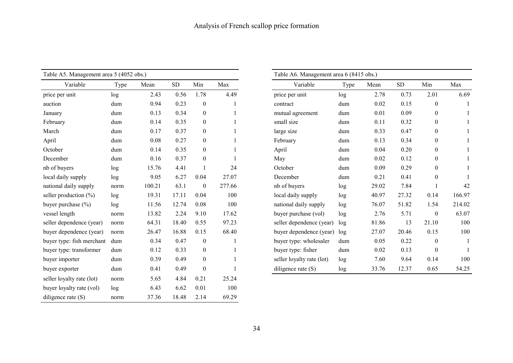| Table A5. Management area 5 (4052 obs.) |      |        | Table A6. Management area 6 (8415 obs.) |                  |        |                           |      |                |
|-----------------------------------------|------|--------|-----------------------------------------|------------------|--------|---------------------------|------|----------------|
| Variable                                | Type | Mean   | SD                                      | Min              | Max    | Variable                  | Type | Mea            |
| price per unit                          | log  | 2.43   | 0.56                                    | 1.78             | 4.49   | price per unit            | log  | $\overline{2}$ |
| auction                                 | dum  | 0.94   | 0.23                                    | $\boldsymbol{0}$ |        | contract                  | dum  | $\mathbf{0}$   |
| January                                 | dum  | 0.13   | 0.34                                    | $\boldsymbol{0}$ |        | mutual agreement          | dum  | $\mathbf{0}$   |
| February                                | dum  | 0.14   | 0.35                                    | $\boldsymbol{0}$ |        | small size                | dum  | $\mathbf{0}$   |
| March                                   | dum  | 0.17   | 0.37                                    | $\boldsymbol{0}$ |        | large size                | dum  | $\mathbf{0}$   |
| April                                   | dum  | 0.08   | 0.27                                    | $\boldsymbol{0}$ |        | February                  | dum  | $\mathbf{0}$   |
| October                                 | dum  | 0.14   | 0.35                                    | $\boldsymbol{0}$ |        | April                     | dum  | $\mathbf{0}$   |
| December                                | dum  | 0.16   | 0.37                                    | $\boldsymbol{0}$ |        | May                       | dum  | $\mathbf{0}$   |
| nb of buyers                            | log  | 15.76  | 4.41                                    | 1                | 24     | October                   | dum  | $\mathbf{0}$   |
| local daily supply                      | log  | 9.05   | 6.27                                    | 0.04             | 27.07  | December                  | dum  | $\mathbf{0}$   |
| national daily supply                   | norm | 100.21 | 63.1                                    | $\boldsymbol{0}$ | 277.66 | nb of buyers              | log  | 29.            |
| seller production $(\%)$                | log  | 19.31  | 17.11                                   | 0.04             | 100    | local daily supply        | log  | 40.            |
| buyer purchase (%)                      | log  | 11.56  | 12.74                                   | 0.08             | 100    | national daily supply     | log  | 76.            |
| vessel length                           | norm | 13.82  | 2.24                                    | 9.10             | 17.62  | buyer purchase (vol)      | log  | $\overline{2}$ |
| seller dependence (year)                | norm | 64.31  | 18.40                                   | 0.55             | 97.23  | seller dependence (year)  | log  | 81.            |
| buyer dependence (year)                 | norm | 26.47  | 16.88                                   | 0.15             | 68.40  | buyer dependence (year)   | log  | 27.            |
| buyer type: fish merchant               | dum  | 0.34   | 0.47                                    | $\boldsymbol{0}$ |        | buyer type: wholesaler    | dum  | $\mathbf{0}$   |
| buyer type: transformer                 | dum  | 0.12   | 0.33                                    | $\boldsymbol{0}$ |        | buyer type: fisher        | dum  | $\mathbf{0}$   |
| buyer importer                          | dum  | 0.39   | 0.49                                    | $\boldsymbol{0}$ |        | seller loyalty rate (lot) | log  | 7.             |
| buyer exporter                          | dum  | 0.41   | 0.49                                    | $\boldsymbol{0}$ |        | diligence rate $(S)$      | log  | 33.            |
| seller loyalty rate (lot)               | norm | 5.65   | 4.84                                    | 0.21             | 25.24  |                           |      |                |
| buyer loyalty rate (vol)                | log  | 6.43   | 6.62                                    | 0.01             | 100    |                           |      |                |
| diligence rate $(S)$                    | norm | 37.36  | 18.48                                   | 2.14             | 69.29  |                           |      |                |

| Management area 5 (4052 obs.) |      |        |           |                  |        | Table A6. Management area 6 (8415 obs.) |      |       |            |                  |        |
|-------------------------------|------|--------|-----------|------------------|--------|-----------------------------------------|------|-------|------------|------------------|--------|
| Variable                      | Type | Mean   | <b>SD</b> | Min              | Max    | Variable                                | Type | Mean  | ${\rm SD}$ | Min              | Max    |
| unit                          | log  | 2.43   | 0.56      | 1.78             | 4.49   | price per unit                          | log  | 2.78  | 0.73       | 2.01             |        |
|                               | dum  | 0.94   | 0.23      | $\mathbf{0}$     |        | contract                                | dum  | 0.02  | 0.15       | $\mathbf{0}$     |        |
|                               | dum  | 0.13   | 0.34      | $\boldsymbol{0}$ |        | mutual agreement                        | dum  | 0.01  | 0.09       | $\boldsymbol{0}$ |        |
|                               | dum  | 0.14   | 0.35      | $\overline{0}$   |        | small size                              | dum  | 0.11  | 0.32       | $\overline{0}$   |        |
|                               | dum  | 0.17   | 0.37      | $\overline{0}$   |        | large size                              | dum  | 0.33  | 0.47       | $\boldsymbol{0}$ |        |
|                               | dum  | 0.08   | 0.27      | $\overline{0}$   |        | February                                | dum  | 0.13  | 0.34       | $\boldsymbol{0}$ |        |
|                               | dum  | 0.14   | 0.35      | $\overline{0}$   |        | April                                   | dum  | 0.04  | 0.20       | $\mathbf{0}$     |        |
| эr                            | dum  | 0.16   | 0.37      | $\overline{0}$   |        | May                                     | dum  | 0.02  | 0.12       | $\mathbf{0}$     |        |
| yers                          | log  | 15.76  | 4.41      |                  | 24     | October                                 | dum  | 0.09  | 0.29       | $\boldsymbol{0}$ |        |
| ly supply                     | log  | 9.05   | 6.27      | 0.04             | 27.07  | December                                | dum  | 0.21  | 0.41       | $\overline{0}$   |        |
| daily supply                  | norm | 100.21 | 63.1      | $\overline{0}$   | 277.66 | nb of buyers                            | log  | 29.02 | 7.84       |                  |        |
| oduction $(\% )$              | log  | 19.31  | 17.11     | 0.04             | 100    | local daily supply                      | log  | 40.97 | 27.32      | 0.14             | 166.97 |
| rchase (%)                    | log  | 11.56  | 12.74     | 0.08             | 100    | national daily supply                   | log  | 76.07 | 51.82      | 1.54             | 214.02 |
| ngth                          | norm | 13.82  | 2.24      | 9.10             | 17.62  | buyer purchase (vol)                    | log  | 2.76  | 5.71       | $\boldsymbol{0}$ |        |
| pendence (year)               | norm | 64.31  | 18.40     | 0.55             | 97.23  | seller dependence (year)                | log  | 81.86 | 13         | 21.10            |        |
| pendence (year)               | norm | 26.47  | 16.88     | 0.15             | 68.40  | buyer dependence (year)                 | log  | 27.07 | 20.46      | 0.15             |        |
| be: fish merchant             | dum  | 0.34   | 0.47      | $\boldsymbol{0}$ |        | buyer type: wholesaler                  | dum  | 0.05  | 0.22       | $\mathbf{0}$     |        |
| be: transformer               | dum  | 0.12   | 0.33      | $\overline{0}$   |        | buyer type: fisher                      | dum  | 0.02  | 0.13       | $\mathbf{0}$     |        |
| porter                        | dum  | 0.39   | 0.49      | $\overline{0}$   |        | seller loyalty rate (lot)               | log  | 7.60  | 9.64       | 0.14             |        |
| porter                        | dum  | 0.41   | 0.49      | $\boldsymbol{0}$ |        | diligence rate $(S)$                    | log  | 33.76 | 12.37      | 0.65             |        |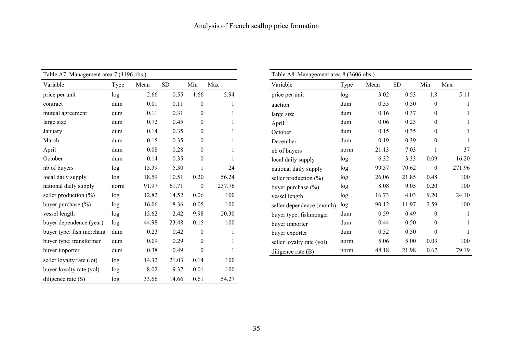| Table A7. Management area 7 (4196 obs.) |      |       |            |                  |        |                           | Table A8. Management area 8 (3606 obs.) |       |            |                  |     |  |  |
|-----------------------------------------|------|-------|------------|------------------|--------|---------------------------|-----------------------------------------|-------|------------|------------------|-----|--|--|
| Variable                                | Type | Mean  | ${\rm SD}$ | Min              | Max    | Variable                  | Type                                    | Mean  | ${\rm SD}$ | Min              | Max |  |  |
| price per unit                          | log  | 2.66  | 0.55       | 1.66             | 5.94   | price per unit            | log                                     | 3.02  | 0.53       | 1.8              |     |  |  |
| contract                                | dum  | 0.01  | 0.11       | $\boldsymbol{0}$ |        | auction                   | dum                                     | 0.55  | 0.50       | $\boldsymbol{0}$ |     |  |  |
| mutual agreement                        | dum  | 0.11  | 0.31       | $\overline{0}$   |        | large size                | dum                                     | 0.16  | 0.37       | $\boldsymbol{0}$ |     |  |  |
| large size                              | dum  | 0.72  | 0.45       | $\overline{0}$   |        | April                     | dum                                     | 0.06  | 0.23       | $\mathbf{0}$     |     |  |  |
| January                                 | dum  | 0.14  | 0.35       | $\boldsymbol{0}$ |        | October                   | dum                                     | 0.15  | 0.35       | $\boldsymbol{0}$ |     |  |  |
| March                                   | dum  | 0.15  | 0.35       | $\boldsymbol{0}$ |        | December                  | dum                                     | 0.19  | 0.39       | $\mathbf{0}$     |     |  |  |
| April                                   | dum  | 0.08  | 0.28       | $\boldsymbol{0}$ |        | nb of buyers              | norm                                    | 21.13 | 7.03       |                  |     |  |  |
| October                                 | dum  | 0.14  | 0.35       | $\boldsymbol{0}$ |        | local daily supply        | log                                     | 6.32  | 3.33       | 0.09             |     |  |  |
| nb of buyers                            | log  | 15.39 | 5.30       |                  | 24     | national daily supply     | log                                     | 99.57 | 70.62      | $\boldsymbol{0}$ |     |  |  |
| local daily supply                      | log  | 18.59 | 10.51      | 0.20             | 56.24  | seller production $(\%)$  | log                                     | 26.06 | 21.85      | 0.48             |     |  |  |
| national daily supply                   | norm | 91.97 | 61.71      | $\boldsymbol{0}$ | 237.76 | buyer purchase $(\% )$    | log                                     | 8.08  | 9.05       | 0.20             |     |  |  |
| seller production $(\% )$               | log  | 12.82 | 14.52      | 0.06             | 100    | vessel length             | log                                     | 16.73 | 4.03       | 9.20             |     |  |  |
| buyer purchase $(\% )$                  | log  | 16.06 | 18.36      | 0.05             | 100    | seller dependence (month) | log                                     | 90.12 | 11.97      | 2.59             |     |  |  |
| vessel length                           | log  | 15.62 | 2.42       | 9.98             | 20.30  | buyer type: fishmonger    | dum                                     | 0.59  | 0.49       | $\boldsymbol{0}$ |     |  |  |
| buyer dependence (year)                 | log  | 44.98 | 23.48      | 0.15             | 100    | buyer importer            | dum                                     | 0.44  | 0.50       | $\mathbf{0}$     |     |  |  |
| buyer type: fish merchant               | dum  | 0.23  | 0.42       | $\boldsymbol{0}$ |        | buyer exporter            | dum                                     | 0.52  | 0.50       | $\theta$         |     |  |  |
| buyer type: transformer                 | dum  | 0.09  | 0.29       | $\boldsymbol{0}$ |        | seller loyalty rate (vol) | norm                                    | 5.06  | 5.00       | 0.03             |     |  |  |
| buyer importer                          | dum  | 0.38  | 0.49       | $\boldsymbol{0}$ |        | diligence rate (B)        | norm                                    | 48.18 | 21.98      | 0.67             |     |  |  |
| seller loyalty rate (lot)               | log  | 14.32 | 21.03      | 0.14             | 100    |                           |                                         |       |            |                  |     |  |  |
| buyer loyalty rate (vol)                | log  | 8.02  | 9.37       | 0.01             | 100    |                           |                                         |       |            |                  |     |  |  |
| diligence rate $(S)$                    | log  | 33.66 | 14.66      | 0.61             | 54.27  |                           |                                         |       |            |                  |     |  |  |

|                |           |                  |        | Table A8. Management area 8 (3606 obs.) |      |       |           |                  |        |  |  |  |  |  |
|----------------|-----------|------------------|--------|-----------------------------------------|------|-------|-----------|------------------|--------|--|--|--|--|--|
|                | <b>SD</b> | Min              | Max    | Variable                                | Type | Mean  | <b>SD</b> | Min              | Max    |  |  |  |  |  |
| 6              | 0.55      | 1.66             | 5.94   | price per unit                          | log  | 3.02  | 0.53      | 1.8              | 5.11   |  |  |  |  |  |
| 1              | 0.11      | $\boldsymbol{0}$ |        | auction                                 | dum  | 0.55  | 0.50      | $\boldsymbol{0}$ |        |  |  |  |  |  |
|                | 0.31      | $\boldsymbol{0}$ |        | large size                              | dum  | 0.16  | 0.37      | $\overline{0}$   |        |  |  |  |  |  |
| $\overline{c}$ | 0.45      | $\overline{0}$   |        | April                                   | dum  | 0.06  | 0.23      | $\Omega$         |        |  |  |  |  |  |
| 4              | 0.35      | $\boldsymbol{0}$ |        | October                                 | dum  | 0.15  | 0.35      | $\theta$         |        |  |  |  |  |  |
| 5              | 0.35      | $\Omega$         |        | December                                | dum  | 0.19  | 0.39      | $\Omega$         |        |  |  |  |  |  |
| 8              | 0.28      | $\mathbf{0}$     |        | nb of buyers                            | norm | 21.13 | 7.03      |                  | 37     |  |  |  |  |  |
| 4              | 0.35      | $\theta$         |        | local daily supply                      | log  | 6.32  | 3.33      | 0.09             | 16.20  |  |  |  |  |  |
| 9              | 5.30      |                  | 24     | national daily supply                   | log  | 99.57 | 70.62     | $\theta$         | 271.96 |  |  |  |  |  |
| 9              | 10.51     | 0.20             | 56.24  | seller production $(\%)$                | log  | 26.06 | 21.85     | 0.48             | 100    |  |  |  |  |  |
| 7              | 61.71     | $\theta$         | 237.76 | buyer purchase $(\% )$                  | log  | 8.08  | 9.05      | 0.20             | 100    |  |  |  |  |  |
| $\overline{c}$ | 14.52     | 0.06             | 100    | vessel length                           | log  | 16.73 | 4.03      | 9.20             | 24.10  |  |  |  |  |  |
| 6              | 18.36     | 0.05             | 100    | seller dependence (month)               | log  | 90.12 | 11.97     | 2.59             | 100    |  |  |  |  |  |
| $\overline{c}$ | 2.42      | 9.98             | 20.30  | buyer type: fishmonger                  | dum  | 0.59  | 0.49      | $\Omega$         |        |  |  |  |  |  |
| 8              | 23.48     | 0.15             | 100    | buyer importer                          | dum  | 0.44  | 0.50      | $\mathbf{0}$     |        |  |  |  |  |  |
| 3              | 0.42      | $\boldsymbol{0}$ |        | buyer exporter                          | dum  | 0.52  | 0.50      | $\theta$         |        |  |  |  |  |  |
| 9              | 0.29      | $\boldsymbol{0}$ |        | seller loyalty rate (vol)               | norm | 5.06  | 5.00      | 0.03             | 100    |  |  |  |  |  |
| 8              | 0.49      | $\theta$         |        | diligence rate $(B)$                    | norm | 48.18 | 21.98     | 0.67             | 79.19  |  |  |  |  |  |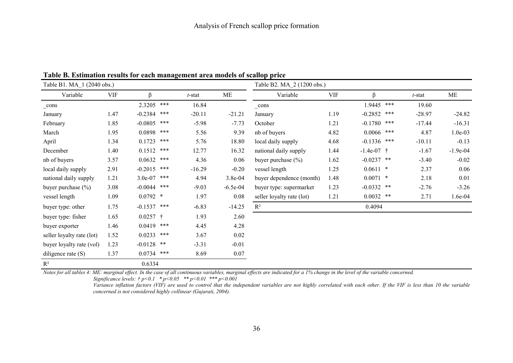| Table B1. MA_1 (2040 obs.) |            |              |       |           |            | Table B2. MA_2 (1200 obs.) |            |               |     |          |            |  |  |
|----------------------------|------------|--------------|-------|-----------|------------|----------------------------|------------|---------------|-----|----------|------------|--|--|
| Variable                   | <b>VIF</b> | β            |       | $t$ -stat | ME         | Variable                   | <b>VIF</b> | ß             |     | t-stat   | ME         |  |  |
| _cons                      |            | 2.3205       | $***$ | 16.84     |            | $_{\rm cons}$              |            | 1.9445        | *** | 19.60    |            |  |  |
| January                    | 1.47       | $-0.2384$    | ***   | $-20.11$  | $-21.21$   | January                    | 1.19       | $-0.2852$ *** |     | $-28.97$ | $-24.82$   |  |  |
| February                   | 1.85       | $-0.0805$    | $***$ | $-5.98$   | $-7.73$    | October                    | 1.21       | $-0.1780$ *** |     | $-17.44$ | $-16.31$   |  |  |
| March                      | 1.95       | 0.0898       | ***   | 5.56      | 9.39       | nb of buyers               | 4.82       | $0.0066$ ***  |     | 4.87     | $1.0e-03$  |  |  |
| April                      | 1.34       | 0.1723       | $***$ | 5.76      | 18.80      | local daily supply         | 4.68       | $-0.1336$ *** |     | $-10.11$ | $-0.13$    |  |  |
| December                   | 1.40       | 0.1512       | ***   | 12.77     | 16.32      | national daily supply      | 1.44       | $-1.4e-07$ †  |     | $-1.67$  | $-1.9e-04$ |  |  |
| nb of buyers               | 3.57       | 0.0632       | ***   | 4.36      | 0.06       | buyer purchase $(\% )$     | 1.62       | $-0.0237$ **  |     | $-3.40$  | $-0.02$    |  |  |
| local daily supply         | 2.91       | $-0.2015$    | ***   | $-16.29$  | $-0.20$    | vessel length              | 1.25       | $0.0611$ *    |     | 2.37     | 0.06       |  |  |
| national daily supply      | 1.21       | $3.0e-07$    | ***   | 4.94      | 3.8e-04    | buyer dependence (month)   | 1.48       | $0.0071$ *    |     | 2.18     | 0.01       |  |  |
| buyer purchase (%)         | 3.08       | $-0.0044$    | ***   | $-9.03$   | $-6.5e-04$ | buyer type: supermarket    | 1.23       | $-0.0332$ **  |     | $-2.76$  | $-3.26$    |  |  |
| vessel length              | 1.09       | $0.0792$ *   |       | 1.97      | 0.08       | seller loyalty rate (lot)  | 1.21       | $0.0032$ **   |     | 2.71     | 1.6e-04    |  |  |
| buyer type: other          | 1.75       | $-0.1537$    | $***$ | $-6.83$   | $-14.25$   | $R^2$                      |            | 0.4094        |     |          |            |  |  |
| buyer type: fisher         | 1.65       | $0.0257$ †   |       | 1.93      | 2.60       |                            |            |               |     |          |            |  |  |
| buyer exporter             | 1.46       | 0.0419       | ***   | 4.45      | 4.28       |                            |            |               |     |          |            |  |  |
| seller loyalty rate (lot)  | 1.52       | 0.0233       | ***   | 3.67      | 0.02       |                            |            |               |     |          |            |  |  |
| buyer loyalty rate (vol)   | 1.23       | $-0.0128$ ** |       | $-3.31$   | $-0.01$    |                            |            |               |     |          |            |  |  |
| diligence rate $(S)$       | 1.37       | 0.0734       | $***$ | 8.69      | 0.07       |                            |            |               |     |          |            |  |  |
| $\mathbb{R}^2$             |            | 0.6334       |       |           |            |                            |            |               |     |          |            |  |  |

**Table B. Estimation results for each management area models of scallop price** 

*Notes for all tables 4: ME: marginal effect. In the case of all continuous variables, marginal effects are indicated for a 1% change in the level of the variable concerned. Significance levels: † p<0.1 \* p<0.05 \*\* p<0.01 \*\*\* p<0.001* 

*Variance inflation factors (VIF) are used to control that the independent variables are not highly correlated with each other. If the VIF is less than 10 the variable concerned is not considered highly collinear (Gujarati, 2004).*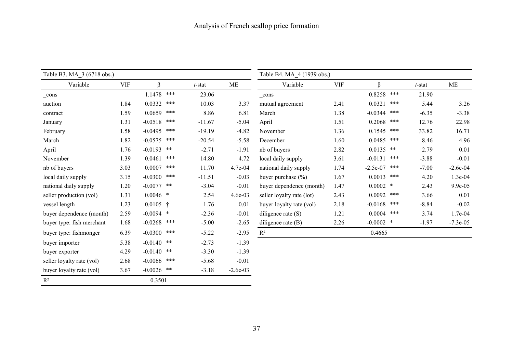| Table B3. MA_3 (6718 obs.) |            |               |     |           |            | Table B4. MA_4 (1939 obs.) |            |                   |         |             |  |  |
|----------------------------|------------|---------------|-----|-----------|------------|----------------------------|------------|-------------------|---------|-------------|--|--|
| Variable                   | <b>VIF</b> | β             |     | $t$ -stat | ME         | Variable                   | <b>VIF</b> | ß                 | t-stat  | <b>ME</b>   |  |  |
| $_{cons}$                  |            | 1.1478        | *** | 23.06     |            | _cons                      |            | 0.8258<br>$***$   | 21.90   |             |  |  |
| auction                    | 1.84       | 0.0332        | *** | 10.03     | 3.37       | mutual agreement           | 2.41       | 0.0321<br>***     | 5.44    | 3.26        |  |  |
| contract                   | 1.59       | 0.0659        | *** | 8.86      | 6.81       | March                      | 1.38       | $-0.0344$<br>***  | $-6.35$ | $-3.38$     |  |  |
| January                    | 1.31       | $-0.0518$     | *** | $-11.67$  | $-5.04$    | April                      | 1.51       | 0.2068<br>***     | 12.76   | 22.98       |  |  |
| February                   | 1.58       | $-0.0495$ *** |     | $-19.19$  | $-4.82$    | November                   | 1.36       | ***<br>0.1545     | 33.82   | 16.71       |  |  |
| March                      | 1.82       | $-0.0575$     | *** | $-20.54$  | $-5.58$    | December                   | 1.60       | 0.0485<br>***     | 8.46    | 4.96        |  |  |
| April                      | 1.76       | $-0.0193$ **  |     | $-2.71$   | $-1.91$    | nb of buyers               | 2.82       | $0.0135$ **       | 2.79    | 0.01        |  |  |
| November                   | 1.39       | 0.0461        | *** | 14.80     | 4.72       | local daily supply         | 3.61       | $-0.0131$<br>***  | $-3.88$ | $-0.01$     |  |  |
| nb of buyers               | 3.03       | 0.0007        | *** | 11.70     | 4.7e-04    | national daily supply      | 1.74       | $-2.5e-07$<br>*** | $-7.00$ | $-2.6e-04$  |  |  |
| local daily supply         | 3.15       | $-0.0300$     | *** | $-11.51$  | $-0.03$    | buyer purchase $(\% )$     | 1.67       | 0.0013<br>***     | 4.20    | 1.3e-04     |  |  |
| national daily supply      | 1.20       | $-0.0077$ **  |     | $-3.04$   | $-0.01$    | buyer dependence (month)   | 1.47       | $0.0002$ *        | 2.43    | 9.9e-05     |  |  |
| seller production (vol)    | 1.31       | $0.0046$ *    |     | 2.54      | $4.6e-03$  | seller loyalty rate (lot)  | 2.43       | $0.0092$ ***      | 3.66    | 0.01        |  |  |
| vessel length              | 1.23       | $0.0105$ †    |     | 1.76      | 0.01       | buyer loyalty rate (vol)   | 2.18       | $-0.0168$<br>***  | $-8.84$ | $-0.02$     |  |  |
| buyer dependence (month)   | 2.59       | $-0.0094$ *   |     | $-2.36$   | $-0.01$    | diligence rate $(S)$       | 1.21       | 0.0004<br>***     | 3.74    | 1.7e-04     |  |  |
| buyer type: fish merchant  | 1.68       | $-0.0268$ *** |     | $-5.00$   | $-2.65$    | diligence rate $(B)$       | 2.26       | $-0.0002$ *       | $-1.97$ | $-7.3e-0.5$ |  |  |
| buyer type: fishmonger     | 6.39       | $-0.0300$     | *** | $-5.22$   | $-2.95$    | $\mathbf{R}^2$             |            | 0.4665            |         |             |  |  |
| buyer importer             | 5.38       | $-0.0140$ **  |     | $-2.73$   | $-1.39$    |                            |            |                   |         |             |  |  |
| buyer exporter             | 4.29       | $-0.0140$ **  |     | $-3.30$   | $-1.39$    |                            |            |                   |         |             |  |  |
| seller loyalty rate (vol)  | 2.68       | $-0.0066$ *** |     | $-5.68$   | $-0.01$    |                            |            |                   |         |             |  |  |
| buyer loyalty rate (vol)   | 3.67       | $-0.0026$ **  |     | $-3.18$   | $-2.6e-03$ |                            |            |                   |         |             |  |  |
| $\mathbb{R}^2$             |            | 0.3501        |     |           |            |                            |            |                   |         |             |  |  |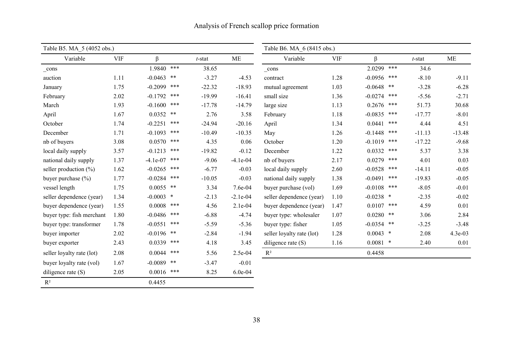| Table B5. MA 5 (4052 obs.) |            |              |       |           | Table B6. MA 6 (8415 obs.) |                           |            |              |       |           |          |
|----------------------------|------------|--------------|-------|-----------|----------------------------|---------------------------|------------|--------------|-------|-----------|----------|
| Variable                   | <b>VIF</b> | β            |       | $t$ -stat | <b>ME</b>                  | Variable                  | <b>VIF</b> | $\beta$      |       | $t$ -stat | ME       |
| _cons                      |            | 1.9840       | $***$ | 38.65     |                            | _cons                     |            | 2.0299       | $***$ | 34.6      |          |
| auction                    | 1.11       | $-0.0463$    | $***$ | $-3.27$   | $-4.53$                    | contract                  | 1.28       | $-0.0956$    | $***$ | $-8.10$   | $-9.11$  |
| January                    | 1.75       | $-0.2099$    | ***   | $-22.32$  | $-18.93$                   | mutual agreement          | 1.03       | $-0.0648$    | $***$ | $-3.28$   | $-6.28$  |
| February                   | 2.02       | $-0.1792$    | ***   | $-19.99$  | $-16.41$                   | small size                | 1.36       | $-0.0274$    | ***   | $-5.56$   | $-2.71$  |
| March                      | 1.93       | $-0.1600$    | ***   | $-17.78$  | $-14.79$                   | large size                | 1.13       | 0.2676       | $***$ | 51.73     | 30.68    |
| April                      | 1.67       | $0.0352$ **  |       | 2.76      | 3.58                       | February                  | 1.18       | $-0.0835$    | $***$ | $-17.77$  | $-8.01$  |
| October                    | 1.74       | $-0.2251$    | ***   | $-24.94$  | $-20.16$                   | April                     | 1.34       | 0.0441       | ***   | 4.44      | 4.51     |
| December                   | 1.71       | $-0.1093$    | $***$ | $-10.49$  | $-10.35$                   | May                       | 1.26       | $-0.1448$    | ***   | $-11.13$  | $-13.48$ |
| nb of buyers               | 3.08       | 0.0570       | ***   | 4.35      | 0.06                       | October                   | 1.20       | $-0.1019$    | ***   | $-17.22$  | $-9.68$  |
| local daily supply         | 3.57       | $-0.1213$    | ***   | $-19.82$  | $-0.12$                    | December                  | 1.22       | 0.0332       | ***   | 5.37      | 3.38     |
| national daily supply      | 1.37       | $-4.1e-07$   | ***   | $-9.06$   | $-4.1e-04$                 | nb of buyers              | 2.17       | 0.0279       | ***   | 4.01      | 0.03     |
| seller production $(\% )$  | 1.62       | $-0.0265$    | ***   | $-6.77$   | $-0.03$                    | local daily supply        | 2.60       | $-0.0528$    | ***   | $-14.11$  | $-0.05$  |
| buyer purchase $(\% )$     | 1.77       | $-0.0284$    | ***   | $-10.05$  | $-0.03$                    | national daily supply     | 1.38       | $-0.0491$    | ***   | $-19.83$  | $-0.05$  |
| vessel length              | 1.75       | $0.0055$ **  |       | 3.34      | 7.6e-04                    | buyer purchase (vol)      | 1.69       | $-0.0108$    | ***   | $-8.05$   | $-0.01$  |
| seller dependence (year)   | 1.34       | $-0.0003$ *  |       | $-2.13$   | $-2.1e-04$                 | seller dependence (year)  | 1.10       | $-0.0238$ *  |       | $-2.35$   | $-0.02$  |
| buyer dependence (year)    | 1.55       | 0.0008       | ***   | 4.56      | 2.1e-04                    | buyer dependence (year)   | 1.47       | 0.0107       | $***$ | 4.59      | 0.01     |
| buyer type: fish merchant  | 1.80       | $-0.0486$    | ***   | $-6.88$   | $-4.74$                    | buyer type: wholesaler    | 1.07       | 0.0280       | **    | 3.06      | 2.84     |
| buyer type: transformer    | 1.78       | $-0.0551$    | ***   | $-5.59$   | $-5.36$                    | buyer type: fisher        | 1.05       | $-0.0354$ ** |       | $-3.25$   | $-3.48$  |
| buyer importer             | 2.02       | $-0.0196$ ** |       | $-2.84$   | $-1.94$                    | seller loyalty rate (lot) | 1.28       | $0.0043$ *   |       | 2.08      | 4.3e-03  |
| buyer exporter             | 2.43       | $0.0339$ *** |       | 4.18      | 3.45                       | diligence rate $(S)$      | 1.16       | $0.0081$ *   |       | 2.40      | 0.01     |
| seller loyalty rate (lot)  | 2.08       | 0.0044       | ***   | 5.56      | 2.5e-04                    | $R^2$                     |            | 0.4458       |       |           |          |
| buyer loyalty rate (vol)   | 1.67       | $-0.0089$ ** |       | $-3.47$   | $-0.01$                    |                           |            |              |       |           |          |
| diligence rate $(S)$       | 2.05       | $0.0016$ *** |       | 8.25      | $6.0e-04$                  |                           |            |              |       |           |          |
| $R^2$                      |            | 0.4455       |       |           |                            |                           |            |              |       |           |          |